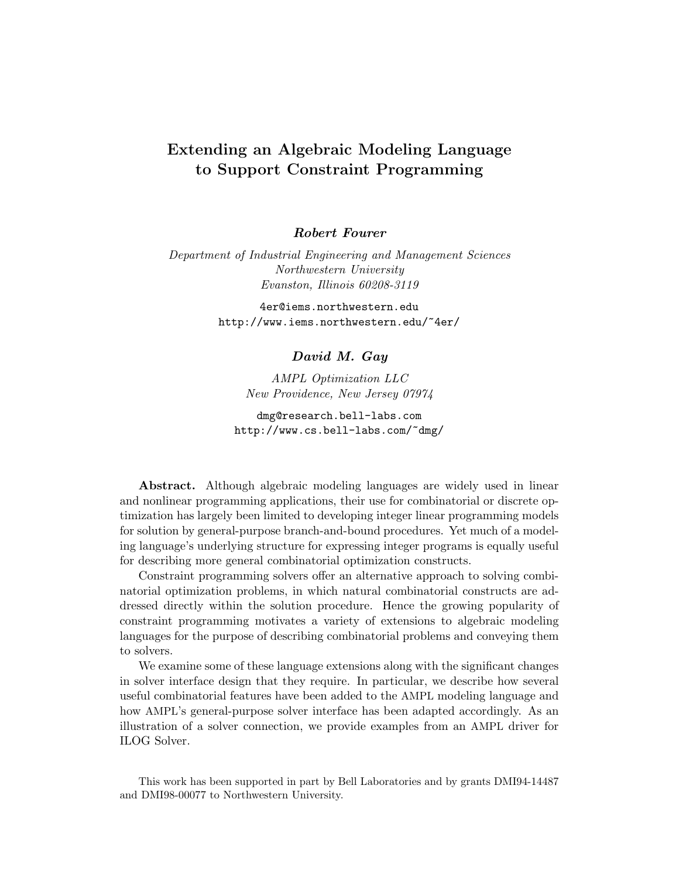# **Extending an Algebraic Modeling Language to Support Constraint Programming**

# *Robert Fourer*

Department of Industrial Engineering and Management Sciences Northwestern University Evanston, Illinois 60208-3119

> 4er@iems.northwestern.edu http://www.iems.northwestern.edu/~4er/

# *David M. Gay*

AMPL Optimization LLC New Providence, New Jersey 07974

dmg@research.bell-labs.com http://www.cs.bell-labs.com/~dmg/

**Abstract.** Although algebraic modeling languages are widely used in linear and nonlinear programming applications, their use for combinatorial or discrete optimization has largely been limited to developing integer linear programming models for solution by general-purpose branch-and-bound procedures. Yet much of a modeling language's underlying structure for expressing integer programs is equally useful for describing more general combinatorial optimization constructs.

Constraint programming solvers offer an alternative approach to solving combinatorial optimization problems, in which natural combinatorial constructs are addressed directly within the solution procedure. Hence the growing popularity of constraint programming motivates a variety of extensions to algebraic modeling languages for the purpose of describing combinatorial problems and conveying them to solvers.

We examine some of these language extensions along with the significant changes in solver interface design that they require. In particular, we describe how several useful combinatorial features have been added to the AMPL modeling language and how AMPL's general-purpose solver interface has been adapted accordingly. As an illustration of a solver connection, we provide examples from an AMPL driver for ILOG Solver.

This work has been supported in part by Bell Laboratories and by grants DMI94-14487 and DMI98-00077 to Northwestern University.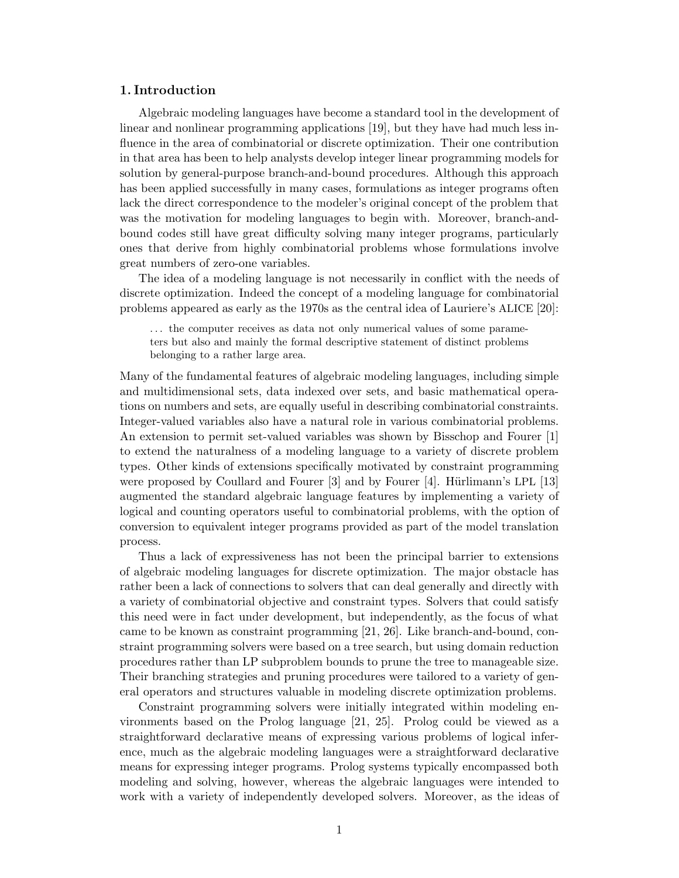# **1. Introduction**

Algebraic modeling languages have become a standard tool in the development of linear and nonlinear programming applications [19], but they have had much less influence in the area of combinatorial or discrete optimization. Their one contribution in that area has been to help analysts develop integer linear programming models for solution by general-purpose branch-and-bound procedures. Although this approach has been applied successfully in many cases, formulations as integer programs often lack the direct correspondence to the modeler's original concept of the problem that was the motivation for modeling languages to begin with. Moreover, branch-andbound codes still have great difficulty solving many integer programs, particularly ones that derive from highly combinatorial problems whose formulations involve great numbers of zero-one variables.

The idea of a modeling language is not necessarily in conflict with the needs of discrete optimization. Indeed the concept of a modeling language for combinatorial problems appeared as early as the 1970s as the central idea of Lauriere's ALICE [20]:

... the computer receives as data not only numerical values of some parameters but also and mainly the formal descriptive statement of distinct problems belonging to a rather large area.

Many of the fundamental features of algebraic modeling languages, including simple and multidimensional sets, data indexed over sets, and basic mathematical operations on numbers and sets, are equally useful in describing combinatorial constraints. Integer-valued variables also have a natural role in various combinatorial problems. An extension to permit set-valued variables was shown by Bisschop and Fourer [1] to extend the naturalness of a modeling language to a variety of discrete problem types. Other kinds of extensions specifically motivated by constraint programming were proposed by Coullard and Fourer  $[3]$  and by Fourer  $[4]$ . Hürlimann's LPL  $[13]$ augmented the standard algebraic language features by implementing a variety of logical and counting operators useful to combinatorial problems, with the option of conversion to equivalent integer programs provided as part of the model translation process.

Thus a lack of expressiveness has not been the principal barrier to extensions of algebraic modeling languages for discrete optimization. The major obstacle has rather been a lack of connections to solvers that can deal generally and directly with a variety of combinatorial objective and constraint types. Solvers that could satisfy this need were in fact under development, but independently, as the focus of what came to be known as constraint programming [21, 26]. Like branch-and-bound, constraint programming solvers were based on a tree search, but using domain reduction procedures rather than LP subproblem bounds to prune the tree to manageable size. Their branching strategies and pruning procedures were tailored to a variety of general operators and structures valuable in modeling discrete optimization problems.

Constraint programming solvers were initially integrated within modeling environments based on the Prolog language [21, 25]. Prolog could be viewed as a straightforward declarative means of expressing various problems of logical inference, much as the algebraic modeling languages were a straightforward declarative means for expressing integer programs. Prolog systems typically encompassed both modeling and solving, however, whereas the algebraic languages were intended to work with a variety of independently developed solvers. Moreover, as the ideas of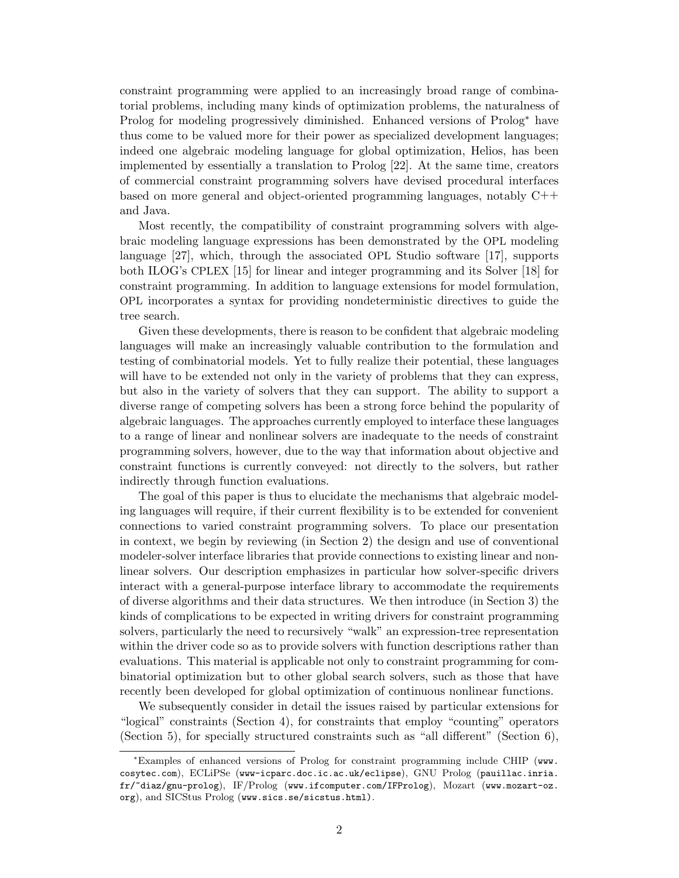constraint programming were applied to an increasingly broad range of combinatorial problems, including many kinds of optimization problems, the naturalness of Prolog for modeling progressively diminished. Enhanced versions of Prolog∗ have thus come to be valued more for their power as specialized development languages; indeed one algebraic modeling language for global optimization, Helios, has been implemented by essentially a translation to Prolog [22]. At the same time, creators of commercial constraint programming solvers have devised procedural interfaces based on more general and object-oriented programming languages, notably C++ and Java.

Most recently, the compatibility of constraint programming solvers with algebraic modeling language expressions has been demonstrated by the OPL modeling language [27], which, through the associated OPL Studio software [17], supports both ILOG's CPLEX [15] for linear and integer programming and its Solver [18] for constraint programming. In addition to language extensions for model formulation, OPL incorporates a syntax for providing nondeterministic directives to guide the tree search.

Given these developments, there is reason to be confident that algebraic modeling languages will make an increasingly valuable contribution to the formulation and testing of combinatorial models. Yet to fully realize their potential, these languages will have to be extended not only in the variety of problems that they can express, but also in the variety of solvers that they can support. The ability to support a diverse range of competing solvers has been a strong force behind the popularity of algebraic languages. The approaches currently employed to interface these languages to a range of linear and nonlinear solvers are inadequate to the needs of constraint programming solvers, however, due to the way that information about objective and constraint functions is currently conveyed: not directly to the solvers, but rather indirectly through function evaluations.

The goal of this paper is thus to elucidate the mechanisms that algebraic modeling languages will require, if their current flexibility is to be extended for convenient connections to varied constraint programming solvers. To place our presentation in context, we begin by reviewing (in Section 2) the design and use of conventional modeler-solver interface libraries that provide connections to existing linear and nonlinear solvers. Our description emphasizes in particular how solver-specific drivers interact with a general-purpose interface library to accommodate the requirements of diverse algorithms and their data structures. We then introduce (in Section 3) the kinds of complications to be expected in writing drivers for constraint programming solvers, particularly the need to recursively "walk" an expression-tree representation within the driver code so as to provide solvers with function descriptions rather than evaluations. This material is applicable not only to constraint programming for combinatorial optimization but to other global search solvers, such as those that have recently been developed for global optimization of continuous nonlinear functions.

We subsequently consider in detail the issues raised by particular extensions for "logical" constraints (Section 4), for constraints that employ "counting" operators (Section 5), for specially structured constraints such as "all different" (Section 6),

<sup>∗</sup>Examples of enhanced versions of Prolog for constraint programming include CHIP (www. cosytec.com), ECLiPSe (www-icparc.doc.ic.ac.uk/eclipse), GNU Prolog (pauillac.inria. fr/~diaz/gnu-prolog), IF/Prolog (www.ifcomputer.com/IFProlog), Mozart (www.mozart-oz. org), and SICStus Prolog (www.sics.se/sicstus.html).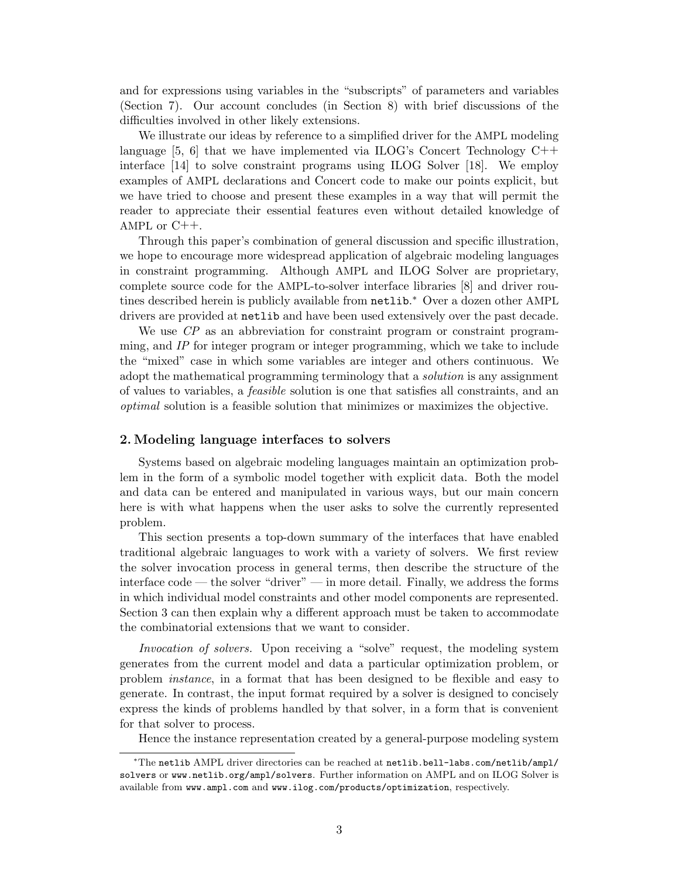and for expressions using variables in the "subscripts" of parameters and variables (Section 7). Our account concludes (in Section 8) with brief discussions of the difficulties involved in other likely extensions.

We illustrate our ideas by reference to a simplified driver for the AMPL modeling language [5, 6] that we have implemented via ILOG's Concert Technology  $C++$ interface [14] to solve constraint programs using ILOG Solver [18]. We employ examples of AMPL declarations and Concert code to make our points explicit, but we have tried to choose and present these examples in a way that will permit the reader to appreciate their essential features even without detailed knowledge of AMPL or C++.

Through this paper's combination of general discussion and specific illustration, we hope to encourage more widespread application of algebraic modeling languages in constraint programming. Although AMPL and ILOG Solver are proprietary, complete source code for the AMPL-to-solver interface libraries [8] and driver routines described herein is publicly available from netlib. ∗ Over a dozen other AMPL drivers are provided at netlib and have been used extensively over the past decade.

We use CP as an abbreviation for constraint program or constraint programming, and IP for integer program or integer programming, which we take to include the "mixed" case in which some variables are integer and others continuous. We adopt the mathematical programming terminology that a *solution* is any assignment of values to variables, a feasible solution is one that satisfies all constraints, and an optimal solution is a feasible solution that minimizes or maximizes the objective.

### **2. Modeling language interfaces to solvers**

Systems based on algebraic modeling languages maintain an optimization problem in the form of a symbolic model together with explicit data. Both the model and data can be entered and manipulated in various ways, but our main concern here is with what happens when the user asks to solve the currently represented problem.

This section presents a top-down summary of the interfaces that have enabled traditional algebraic languages to work with a variety of solvers. We first review the solver invocation process in general terms, then describe the structure of the interface code — the solver "driver" — in more detail. Finally, we address the forms in which individual model constraints and other model components are represented. Section 3 can then explain why a different approach must be taken to accommodate the combinatorial extensions that we want to consider.

Invocation of solvers. Upon receiving a "solve" request, the modeling system generates from the current model and data a particular optimization problem, or problem instance, in a format that has been designed to be flexible and easy to generate. In contrast, the input format required by a solver is designed to concisely express the kinds of problems handled by that solver, in a form that is convenient for that solver to process.

Hence the instance representation created by a general-purpose modeling system

<sup>∗</sup>The netlib AMPL driver directories can be reached at netlib.bell-labs.com/netlib/ampl/ solvers or www.netlib.org/ampl/solvers. Further information on AMPL and on ILOG Solver is available from www.ampl.com and www.ilog.com/products/optimization, respectively.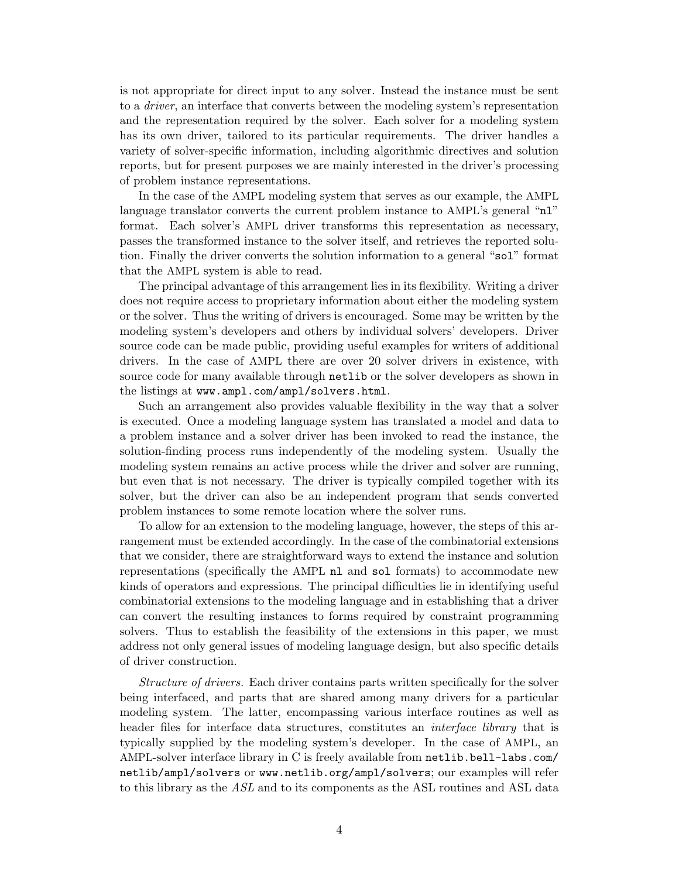is not appropriate for direct input to any solver. Instead the instance must be sent to a driver, an interface that converts between the modeling system's representation and the representation required by the solver. Each solver for a modeling system has its own driver, tailored to its particular requirements. The driver handles a variety of solver-specific information, including algorithmic directives and solution reports, but for present purposes we are mainly interested in the driver's processing of problem instance representations.

In the case of the AMPL modeling system that serves as our example, the AMPL language translator converts the current problem instance to AMPL's general "nl" format. Each solver's AMPL driver transforms this representation as necessary, passes the transformed instance to the solver itself, and retrieves the reported solution. Finally the driver converts the solution information to a general "sol" format that the AMPL system is able to read.

The principal advantage of this arrangement lies in its flexibility. Writing a driver does not require access to proprietary information about either the modeling system or the solver. Thus the writing of drivers is encouraged. Some may be written by the modeling system's developers and others by individual solvers' developers. Driver source code can be made public, providing useful examples for writers of additional drivers. In the case of AMPL there are over 20 solver drivers in existence, with source code for many available through netlib or the solver developers as shown in the listings at www.ampl.com/ampl/solvers.html.

Such an arrangement also provides valuable flexibility in the way that a solver is executed. Once a modeling language system has translated a model and data to a problem instance and a solver driver has been invoked to read the instance, the solution-finding process runs independently of the modeling system. Usually the modeling system remains an active process while the driver and solver are running, but even that is not necessary. The driver is typically compiled together with its solver, but the driver can also be an independent program that sends converted problem instances to some remote location where the solver runs.

To allow for an extension to the modeling language, however, the steps of this arrangement must be extended accordingly. In the case of the combinatorial extensions that we consider, there are straightforward ways to extend the instance and solution representations (specifically the AMPL nl and sol formats) to accommodate new kinds of operators and expressions. The principal difficulties lie in identifying useful combinatorial extensions to the modeling language and in establishing that a driver can convert the resulting instances to forms required by constraint programming solvers. Thus to establish the feasibility of the extensions in this paper, we must address not only general issues of modeling language design, but also specific details of driver construction.

Structure of drivers. Each driver contains parts written specifically for the solver being interfaced, and parts that are shared among many drivers for a particular modeling system. The latter, encompassing various interface routines as well as header files for interface data structures, constitutes an *interface library* that is typically supplied by the modeling system's developer. In the case of AMPL, an AMPL-solver interface library in C is freely available from netlib.bell-labs.com/ netlib/ampl/solvers or www.netlib.org/ampl/solvers; our examples will refer to this library as the ASL and to its components as the ASL routines and ASL data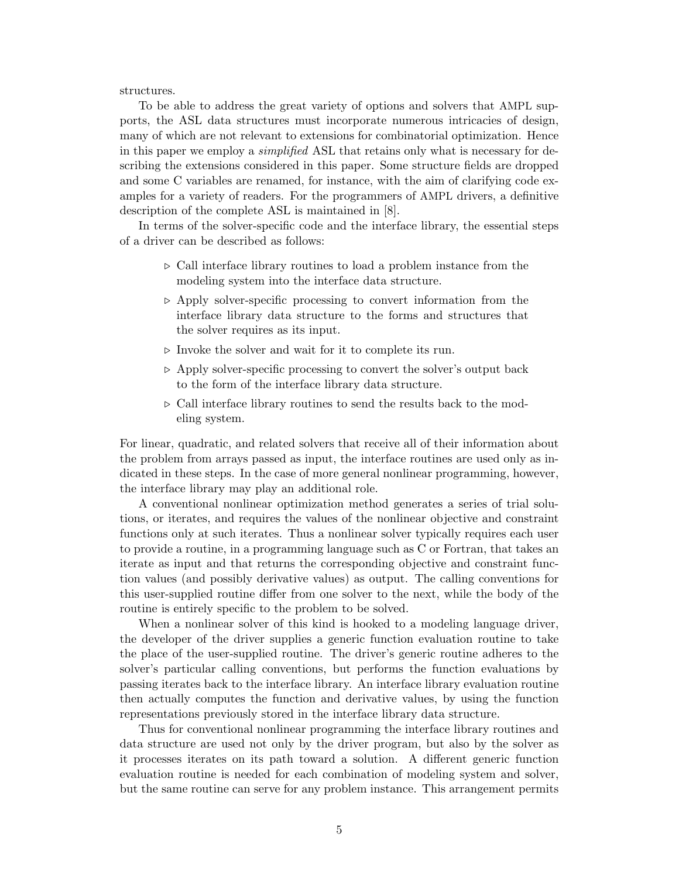structures.

To be able to address the great variety of options and solvers that AMPL supports, the ASL data structures must incorporate numerous intricacies of design, many of which are not relevant to extensions for combinatorial optimization. Hence in this paper we employ a simplified ASL that retains only what is necessary for describing the extensions considered in this paper. Some structure fields are dropped and some C variables are renamed, for instance, with the aim of clarifying code examples for a variety of readers. For the programmers of AMPL drivers, a definitive description of the complete ASL is maintained in [8].

In terms of the solver-specific code and the interface library, the essential steps of a driver can be described as follows:

- $\triangleright$  Call interface library routines to load a problem instance from the modeling system into the interface data structure.
- $\triangleright$  Apply solver-specific processing to convert information from the interface library data structure to the forms and structures that the solver requires as its input.
- $\triangleright$  Invoke the solver and wait for it to complete its run.
- $\triangleright$  Apply solver-specific processing to convert the solver's output back to the form of the interface library data structure.
- $\triangleright$  Call interface library routines to send the results back to the modeling system.

For linear, quadratic, and related solvers that receive all of their information about the problem from arrays passed as input, the interface routines are used only as indicated in these steps. In the case of more general nonlinear programming, however, the interface library may play an additional role.

A conventional nonlinear optimization method generates a series of trial solutions, or iterates, and requires the values of the nonlinear objective and constraint functions only at such iterates. Thus a nonlinear solver typically requires each user to provide a routine, in a programming language such as C or Fortran, that takes an iterate as input and that returns the corresponding objective and constraint function values (and possibly derivative values) as output. The calling conventions for this user-supplied routine differ from one solver to the next, while the body of the routine is entirely specific to the problem to be solved.

When a nonlinear solver of this kind is hooked to a modeling language driver, the developer of the driver supplies a generic function evaluation routine to take the place of the user-supplied routine. The driver's generic routine adheres to the solver's particular calling conventions, but performs the function evaluations by passing iterates back to the interface library. An interface library evaluation routine then actually computes the function and derivative values, by using the function representations previously stored in the interface library data structure.

Thus for conventional nonlinear programming the interface library routines and data structure are used not only by the driver program, but also by the solver as it processes iterates on its path toward a solution. A different generic function evaluation routine is needed for each combination of modeling system and solver, but the same routine can serve for any problem instance. This arrangement permits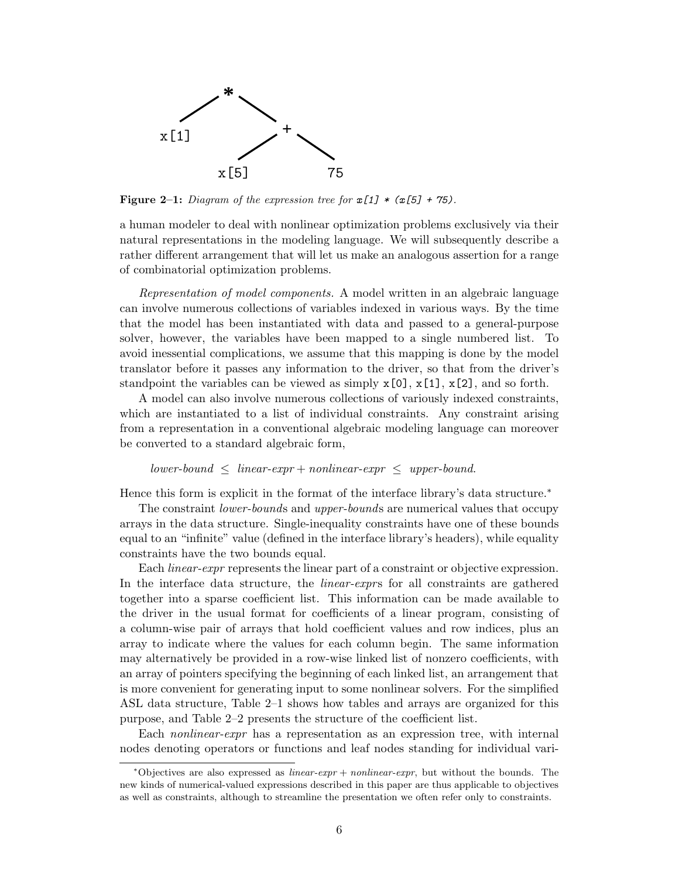

**Figure 2–1:** Diagram of the expression tree for  $x[1] \star (x[5] + 75)$ .

a human modeler to deal with nonlinear optimization problems exclusively via their natural representations in the modeling language. We will subsequently describe a rather different arrangement that will let us make an analogous assertion for a range of combinatorial optimization problems.

Representation of model components. A model written in an algebraic language can involve numerous collections of variables indexed in various ways. By the time that the model has been instantiated with data and passed to a general-purpose solver, however, the variables have been mapped to a single numbered list. To avoid inessential complications, we assume that this mapping is done by the model translator before it passes any information to the driver, so that from the driver's standpoint the variables can be viewed as simply  $x[0], x[1], x[2]$ , and so forth.

A model can also involve numerous collections of variously indexed constraints, which are instantiated to a list of individual constraints. Any constraint arising from a representation in a conventional algebraic modeling language can moreover be converted to a standard algebraic form,

# $lower-bound \leq linear expr + nonlinear-expr \leq upper-bound.$

Hence this form is explicit in the format of the interface library's data structure.∗

The constraint lower-bounds and upper-bounds are numerical values that occupy arrays in the data structure. Single-inequality constraints have one of these bounds equal to an "infinite" value (defined in the interface library's headers), while equality constraints have the two bounds equal.

Each linear-expr represents the linear part of a constraint or objective expression. In the interface data structure, the *linear-exprs* for all constraints are gathered together into a sparse coefficient list. This information can be made available to the driver in the usual format for coefficients of a linear program, consisting of a column-wise pair of arrays that hold coefficient values and row indices, plus an array to indicate where the values for each column begin. The same information may alternatively be provided in a row-wise linked list of nonzero coefficients, with an array of pointers specifying the beginning of each linked list, an arrangement that is more convenient for generating input to some nonlinear solvers. For the simplified ASL data structure, Table 2–1 shows how tables and arrays are organized for this purpose, and Table 2–2 presents the structure of the coefficient list.

Each nonlinear-expr has a representation as an expression tree, with internal nodes denoting operators or functions and leaf nodes standing for individual vari-

<sup>∗</sup>Objectives are also expressed as *linear-expr* + *nonlinear-expr*, but without the bounds. The new kinds of numerical-valued expressions described in this paper are thus applicable to objectives as well as constraints, although to streamline the presentation we often refer only to constraints.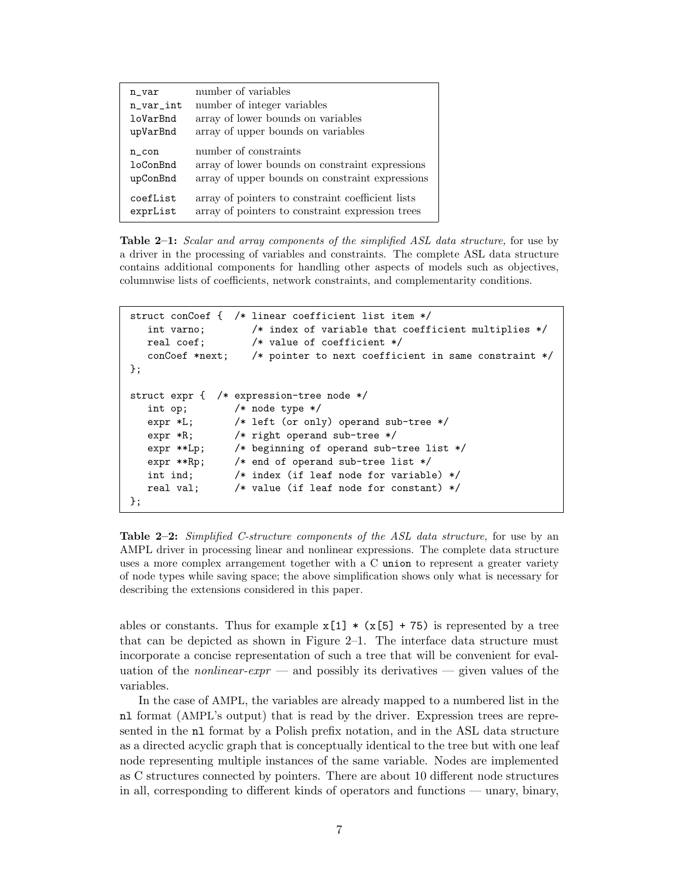| n_var                                             | number of variables                                                                                                         |
|---------------------------------------------------|-----------------------------------------------------------------------------------------------------------------------------|
| n_var_int                                         | number of integer variables                                                                                                 |
| loVarBnd                                          | array of lower bounds on variables                                                                                          |
| upVarBnd                                          | array of upper bounds on variables                                                                                          |
| $n_{\text{-}}$ con<br><b>loConBnd</b><br>upConBnd | number of constraints<br>array of lower bounds on constraint expressions<br>array of upper bounds on constraint expressions |
| coefList<br>exprList                              | array of pointers to constraint coefficient lists<br>array of pointers to constraint expression trees                       |

**Table 2–1:** Scalar and array components of the simplified ASL data structure, for use by a driver in the processing of variables and constraints. The complete ASL data structure contains additional components for handling other aspects of models such as objectives, columnwise lists of coefficients, network constraints, and complementarity conditions.

```
struct conCoef { /* linear coefficient list item */
  int varno; /* index of variable that coefficient multiplies */
  real coef; /* value of coefficient */
  conCoef *next; /* pointer to next coefficient in same constraint */
};
struct expr { /* expression-tree node */
  int op; /* node type */
  expr *L; /* left (or only) operand sub-tree */
  expr *R; /* right operand sub-tree */
  expr **Lp; /* beginning of operand sub-tree list */
  expr **Rp; /* end of operand sub-tree list */
  int ind; /* index (if leaf node for variable) */
  real val; /* value (if leaf node for constant) */
};
```
**Table 2–2:** Simplified C-structure components of the ASL data structure, for use by an AMPL driver in processing linear and nonlinear expressions. The complete data structure uses a more complex arrangement together with a C union to represent a greater variety of node types while saving space; the above simplification shows only what is necessary for describing the extensions considered in this paper.

ables or constants. Thus for example  $x[1] \cdot (x[5] + 75)$  is represented by a tree that can be depicted as shown in Figure 2–1. The interface data structure must incorporate a concise representation of such a tree that will be convenient for evaluation of the *nonlinear-expr* — and possibly its derivatives — given values of the variables.

In the case of AMPL, the variables are already mapped to a numbered list in the nl format (AMPL's output) that is read by the driver. Expression trees are represented in the nl format by a Polish prefix notation, and in the ASL data structure as a directed acyclic graph that is conceptually identical to the tree but with one leaf node representing multiple instances of the same variable. Nodes are implemented as C structures connected by pointers. There are about 10 different node structures in all, corresponding to different kinds of operators and functions — unary, binary,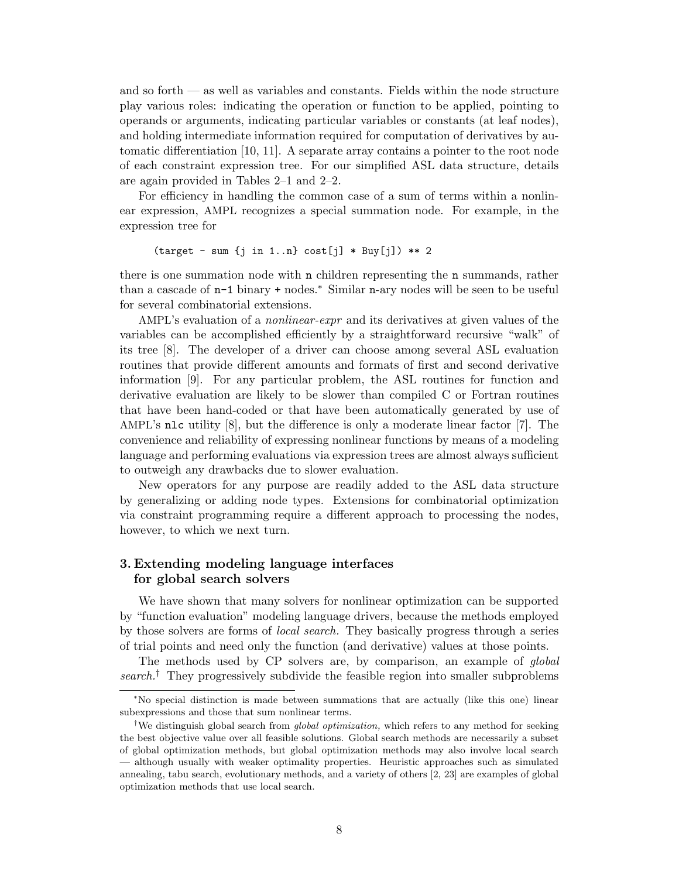and so forth — as well as variables and constants. Fields within the node structure play various roles: indicating the operation or function to be applied, pointing to operands or arguments, indicating particular variables or constants (at leaf nodes), and holding intermediate information required for computation of derivatives by automatic differentiation [10, 11]. A separate array contains a pointer to the root node of each constraint expression tree. For our simplified ASL data structure, details are again provided in Tables 2–1 and 2–2.

For efficiency in handling the common case of a sum of terms within a nonlinear expression, AMPL recognizes a special summation node. For example, in the expression tree for

 $\text{(target - sum } j \text{ in } 1..n\text{ cost}[j] * \text{Buy}[j]) ** 2$ 

there is one summation node with n children representing the n summands, rather than a cascade of n-1 binary + nodes.∗ Similar n-ary nodes will be seen to be useful for several combinatorial extensions.

AMPL's evaluation of a *nonlinear-expr* and its derivatives at given values of the variables can be accomplished efficiently by a straightforward recursive "walk" of its tree [8]. The developer of a driver can choose among several ASL evaluation routines that provide different amounts and formats of first and second derivative information [9]. For any particular problem, the ASL routines for function and derivative evaluation are likely to be slower than compiled C or Fortran routines that have been hand-coded or that have been automatically generated by use of AMPL's nlc utility [8], but the difference is only a moderate linear factor [7]. The convenience and reliability of expressing nonlinear functions by means of a modeling language and performing evaluations via expression trees are almost always sufficient to outweigh any drawbacks due to slower evaluation.

New operators for any purpose are readily added to the ASL data structure by generalizing or adding node types. Extensions for combinatorial optimization via constraint programming require a different approach to processing the nodes, however, to which we next turn.

# **3. Extending modeling language interfaces for global search solvers**

We have shown that many solvers for nonlinear optimization can be supported by "function evaluation" modeling language drivers, because the methods employed by those solvers are forms of local search. They basically progress through a series of trial points and need only the function (and derivative) values at those points.

The methods used by CP solvers are, by comparison, an example of global search.<sup>†</sup> They progressively subdivide the feasible region into smaller subproblems

<sup>∗</sup>No special distinction is made between summations that are actually (like this one) linear subexpressions and those that sum nonlinear terms.

<sup>†</sup>We distinguish global search from *global optimization,* which refers to any method for seeking the best objective value over all feasible solutions. Global search methods are necessarily a subset of global optimization methods, but global optimization methods may also involve local search — although usually with weaker optimality properties. Heuristic approaches such as simulated annealing, tabu search, evolutionary methods, and a variety of others [2, 23] are examples of global optimization methods that use local search.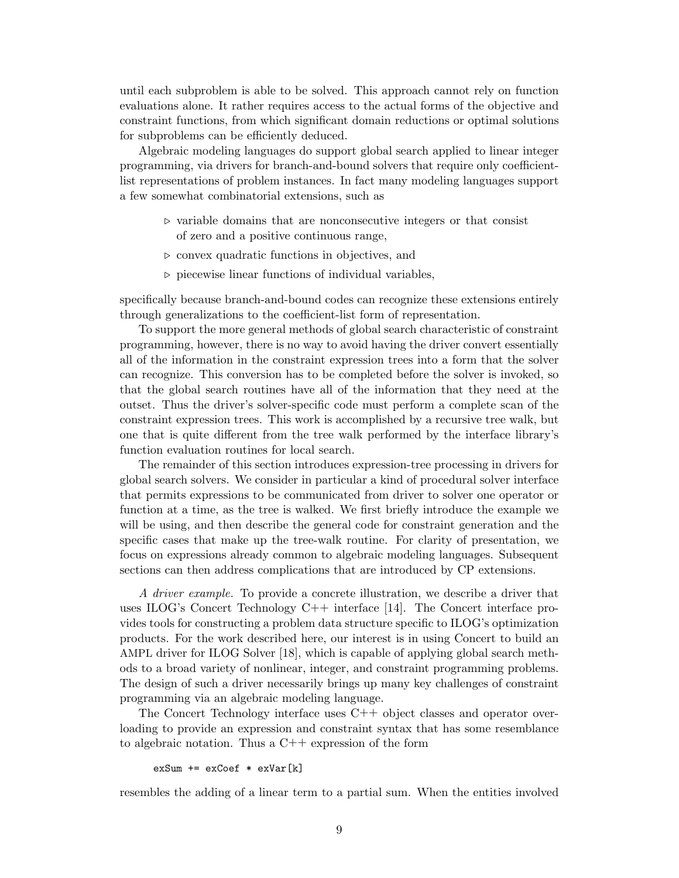until each subproblem is able to be solved. This approach cannot rely on function evaluations alone. It rather requires access to the actual forms of the objective and constraint functions, from which significant domain reductions or optimal solutions for subproblems can be efficiently deduced.

Algebraic modeling languages do support global search applied to linear integer programming, via drivers for branch-and-bound solvers that require only coefficientlist representations of problem instances. In fact many modeling languages support a few somewhat combinatorial extensions, such as

- $\triangleright$  variable domains that are nonconsecutive integers or that consist of zero and a positive continuous range,
- $\triangleright$  convex quadratic functions in objectives, and
- $\triangleright$  piecewise linear functions of individual variables,

specifically because branch-and-bound codes can recognize these extensions entirely through generalizations to the coefficient-list form of representation.

To support the more general methods of global search characteristic of constraint programming, however, there is no way to avoid having the driver convert essentially all of the information in the constraint expression trees into a form that the solver can recognize. This conversion has to be completed before the solver is invoked, so that the global search routines have all of the information that they need at the outset. Thus the driver's solver-specific code must perform a complete scan of the constraint expression trees. This work is accomplished by a recursive tree walk, but one that is quite different from the tree walk performed by the interface library's function evaluation routines for local search.

The remainder of this section introduces expression-tree processing in drivers for global search solvers. We consider in particular a kind of procedural solver interface that permits expressions to be communicated from driver to solver one operator or function at a time, as the tree is walked. We first briefly introduce the example we will be using, and then describe the general code for constraint generation and the specific cases that make up the tree-walk routine. For clarity of presentation, we focus on expressions already common to algebraic modeling languages. Subsequent sections can then address complications that are introduced by CP extensions.

A driver example. To provide a concrete illustration, we describe a driver that uses ILOG's Concert Technology C++ interface [14]. The Concert interface provides tools for constructing a problem data structure specific to ILOG's optimization products. For the work described here, our interest is in using Concert to build an AMPL driver for ILOG Solver [18], which is capable of applying global search methods to a broad variety of nonlinear, integer, and constraint programming problems. The design of such a driver necessarily brings up many key challenges of constraint programming via an algebraic modeling language.

The Concert Technology interface uses  $C++$  object classes and operator overloading to provide an expression and constraint syntax that has some resemblance to algebraic notation. Thus a C++ expression of the form

 $exSum$  +=  $exCoef$  \*  $exVar[k]$ 

resembles the adding of a linear term to a partial sum. When the entities involved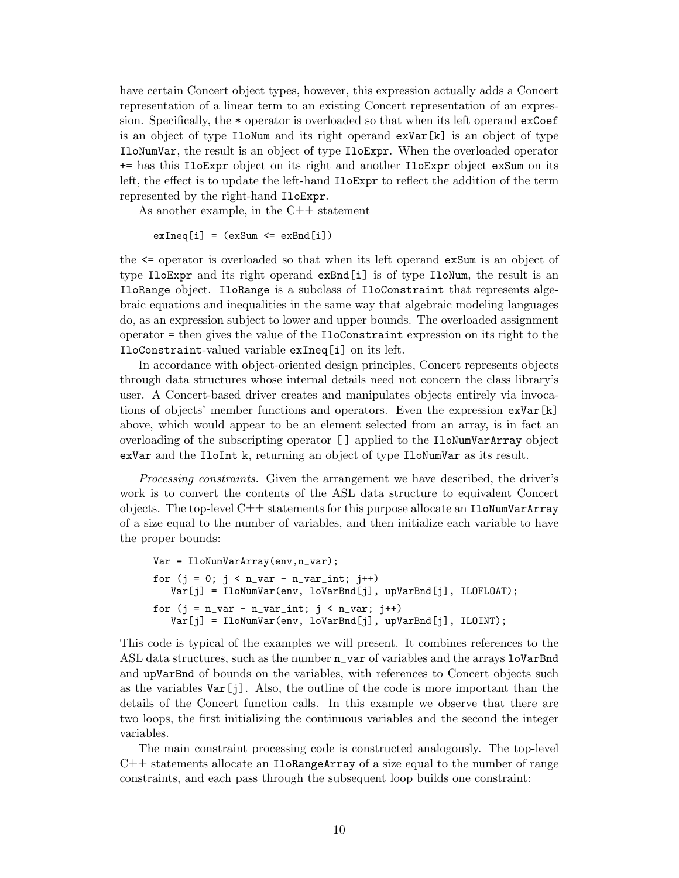have certain Concert object types, however, this expression actually adds a Concert representation of a linear term to an existing Concert representation of an expression. Specifically, the  $*$  operator is overloaded so that when its left operand exCoef is an object of type IloNum and its right operand  $exVar[k]$  is an object of type IloNumVar, the result is an object of type IloExpr. When the overloaded operator += has this IloExpr object on its right and another IloExpr object exSum on its left, the effect is to update the left-hand IloExpr to reflect the addition of the term represented by the right-hand IloExpr.

As another example, in the C++ statement

#### $exIneq[i] = (exSum \leq exBnd[i])$

the <= operator is overloaded so that when its left operand exSum is an object of type IloExpr and its right operand exBnd[i] is of type IloNum, the result is an IloRange object. IloRange is a subclass of IloConstraint that represents algebraic equations and inequalities in the same way that algebraic modeling languages do, as an expression subject to lower and upper bounds. The overloaded assignment operator = then gives the value of the IloConstraint expression on its right to the IloConstraint-valued variable exIneq[i] on its left.

In accordance with object-oriented design principles, Concert represents objects through data structures whose internal details need not concern the class library's user. A Concert-based driver creates and manipulates objects entirely via invocations of objects' member functions and operators. Even the expression exVar[k] above, which would appear to be an element selected from an array, is in fact an overloading of the subscripting operator [ ] applied to the IloNumVarArray object exVar and the IloInt k, returning an object of type IloNumVar as its result.

Processing constraints. Given the arrangement we have described, the driver's work is to convert the contents of the ASL data structure to equivalent Concert objects. The top-level  $C++$  statements for this purpose allocate an IloNumVarArray of a size equal to the number of variables, and then initialize each variable to have the proper bounds:

```
Var = IloNumVarArray(env,n_var);
for (j = 0; j < n_{var} - n_{var} - int; j++)Var[j] = IloNumVar(env, loVarBnd[j], upVarBnd[j], ILOFLOAT);
for (j = n_{var} - n_{var} \text{int}; j < n_{var}; j++)Var[j] = IloNumVar(env, loVarBnd[j], upVarBnd[j], ILOINT);
```
This code is typical of the examples we will present. It combines references to the ASL data structures, such as the number  $n_{var}$  of variables and the arrays loVarBnd and upVarBnd of bounds on the variables, with references to Concert objects such as the variables  $Var[j]$ . Also, the outline of the code is more important than the details of the Concert function calls. In this example we observe that there are two loops, the first initializing the continuous variables and the second the integer variables.

The main constraint processing code is constructed analogously. The top-level  $C++$  statements allocate an IloRangeArray of a size equal to the number of range constraints, and each pass through the subsequent loop builds one constraint: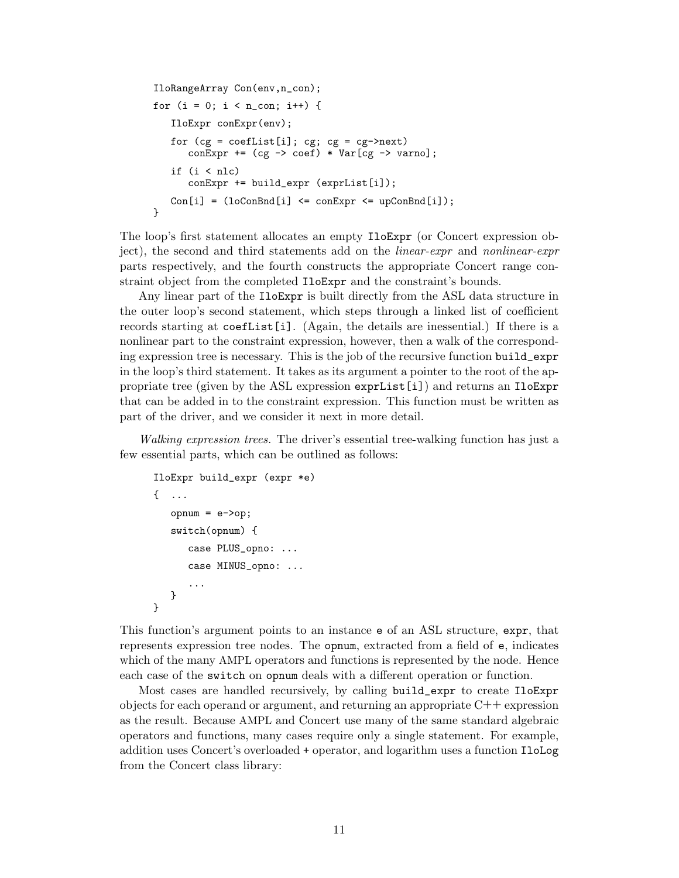```
IloRangeArray Con(env,n_con);
for (i = 0; i < n_{con}; i++) {
   IloExpr conExpr(env);
   for (cg = coefficient[i]; cg; cg = cg->next)conExpr += (cg -> coef) * Var[cg -> varo];if (i < nlc)
      conExpr += build_expr (exprList[i]);
   Con[i] = (loConEnd[i] \leq conExpr \leq upConEnd[i]);}
```
The loop's first statement allocates an empty IloExpr (or Concert expression object), the second and third statements add on the linear-expr and nonlinear-expr parts respectively, and the fourth constructs the appropriate Concert range constraint object from the completed IloExpr and the constraint's bounds.

Any linear part of the IloExpr is built directly from the ASL data structure in the outer loop's second statement, which steps through a linked list of coefficient records starting at coefList[i]. (Again, the details are inessential.) If there is a nonlinear part to the constraint expression, however, then a walk of the corresponding expression tree is necessary. This is the job of the recursive function build\_expr in the loop's third statement. It takes as its argument a pointer to the root of the appropriate tree (given by the ASL expression exprList[i]) and returns an IloExpr that can be added in to the constraint expression. This function must be written as part of the driver, and we consider it next in more detail.

Walking expression trees. The driver's essential tree-walking function has just a few essential parts, which can be outlined as follows:

```
IloExpr build_expr (expr *e)
{ ...
   opnum = e->op;
   switch(opnum) {
      case PLUS_opno: ...
      case MINUS_opno: ...
      ...
   }
}
```
This function's argument points to an instance e of an ASL structure, expr, that represents expression tree nodes. The opnum, extracted from a field of e, indicates which of the many AMPL operators and functions is represented by the node. Hence each case of the switch on opnum deals with a different operation or function.

Most cases are handled recursively, by calling build\_expr to create IloExpr objects for each operand or argument, and returning an appropriate C++ expression as the result. Because AMPL and Concert use many of the same standard algebraic operators and functions, many cases require only a single statement. For example, addition uses Concert's overloaded + operator, and logarithm uses a function IloLog from the Concert class library: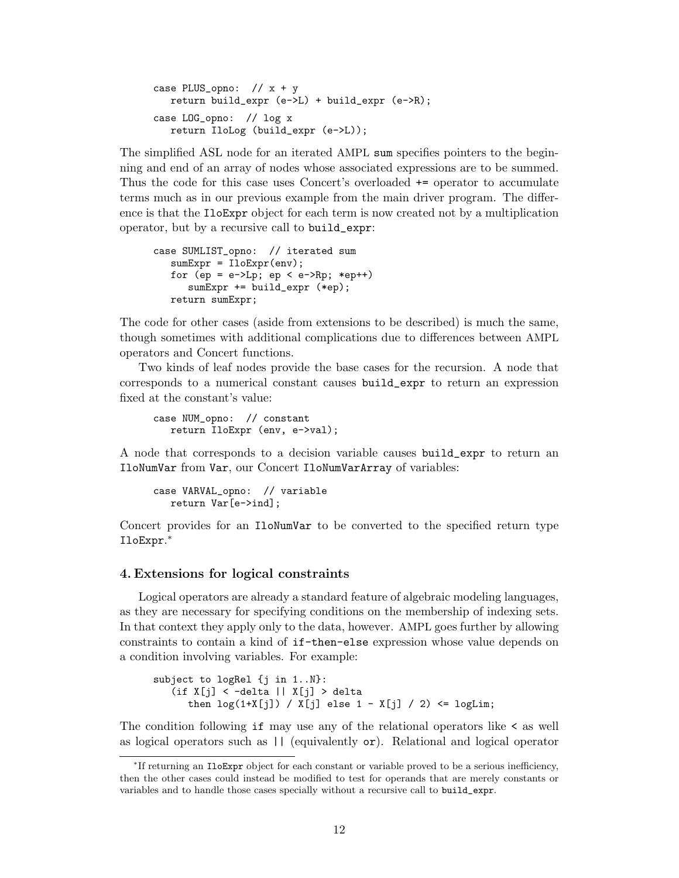```
case PLUS_opno: // x + yreturn build_expr (e->L) + build_expr (e->R);
case LOG_opno: // log x
  return IloLog (build_expr (e->L));
```
The simplified ASL node for an iterated AMPL sum specifies pointers to the beginning and end of an array of nodes whose associated expressions are to be summed. Thus the code for this case uses Concert's overloaded += operator to accumulate terms much as in our previous example from the main driver program. The difference is that the IloExpr object for each term is now created not by a multiplication operator, but by a recursive call to build\_expr:

```
case SUMLIST_opno: // iterated sum
   sumExpr = IloExpr(env);for (ep = e->Lp; ep < e->Rp; *ep++)sumExpr += build_expr (*ep);
  return sumExpr;
```
The code for other cases (aside from extensions to be described) is much the same, though sometimes with additional complications due to differences between AMPL operators and Concert functions.

Two kinds of leaf nodes provide the base cases for the recursion. A node that corresponds to a numerical constant causes build\_expr to return an expression fixed at the constant's value:

case NUM\_opno: // constant return IloExpr (env, e->val);

A node that corresponds to a decision variable causes build\_expr to return an IloNumVar from Var, our Concert IloNumVarArray of variables:

```
case VARVAL_opno: // variable
  return Var[e->ind];
```
Concert provides for an IloNumVar to be converted to the specified return type IloExpr. ∗

## **4. Extensions for logical constraints**

Logical operators are already a standard feature of algebraic modeling languages, as they are necessary for specifying conditions on the membership of indexing sets. In that context they apply only to the data, however. AMPL goes further by allowing constraints to contain a kind of if-then-else expression whose value depends on a condition involving variables. For example:

subject to logRel {j in 1..N}:  $(if X[j] < -delta$ lta ||  $X[j] > delta$ then  $\log(1+X[j])$  /  $X[j]$  else  $1 - X[j]$  / 2) <=  $\log\lim$ ;

The condition following if may use any of the relational operators like < as well as logical operators such as || (equivalently or). Relational and logical operator

<sup>∗</sup>If returning an IloExpr object for each constant or variable proved to be a serious inefficiency, then the other cases could instead be modified to test for operands that are merely constants or variables and to handle those cases specially without a recursive call to build\_expr.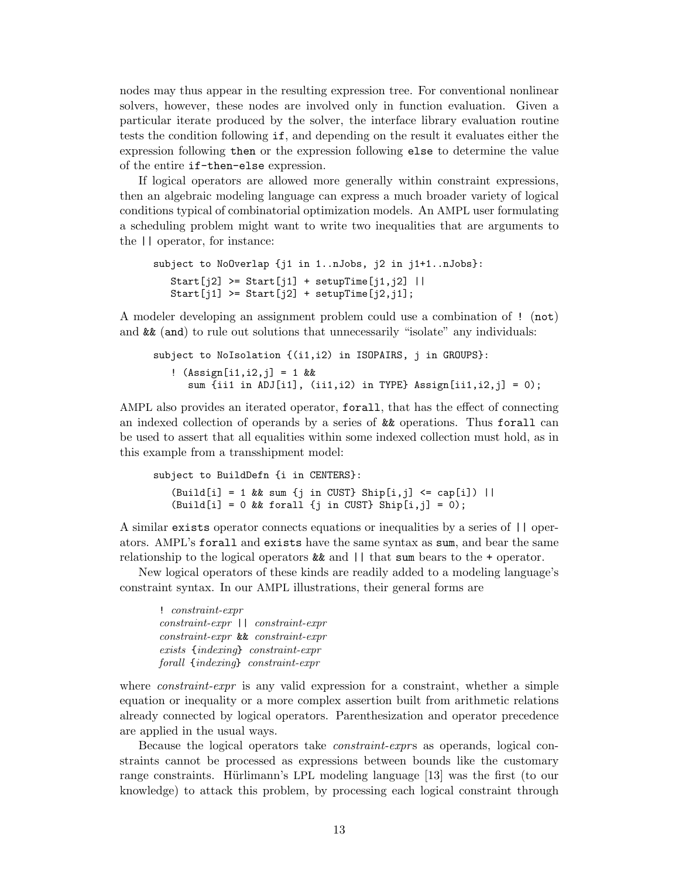nodes may thus appear in the resulting expression tree. For conventional nonlinear solvers, however, these nodes are involved only in function evaluation. Given a particular iterate produced by the solver, the interface library evaluation routine tests the condition following if, and depending on the result it evaluates either the expression following then or the expression following else to determine the value of the entire if-then-else expression.

If logical operators are allowed more generally within constraint expressions, then an algebraic modeling language can express a much broader variety of logical conditions typical of combinatorial optimization models. An AMPL user formulating a scheduling problem might want to write two inequalities that are arguments to the || operator, for instance:

```
subject to NoOverlap {j1 in 1..nJobs, j2 in j1+1..nJobs}:
  Start[i2] >= Start[i1] + setupTime[i1,i2] ||
  Start[j1] >= Start[j2] + setupTime[j2,j1];
```
A modeler developing an assignment problem could use a combination of ! (not) and  $\&\&$  (and) to rule out solutions that unnecessarily "isolate" any individuals:

```
subject to NoIsolation {(i1,i2) in ISOPAIRS, j in GROUPS}:
   ! (Assign[i1,i2,j] = 1 &&
      sum {ii1 in ADJ[i1], (ii1,i2) in TYPE} Assign[ii1,i2,j] = 0);
```
AMPL also provides an iterated operator, forall, that has the effect of connecting an indexed collection of operands by a series of && operations. Thus forall can be used to assert that all equalities within some indexed collection must hold, as in this example from a transshipment model:

subject to BuildDefn {i in CENTERS}: (Build[i] = 1 && sum {j in CUST} Ship[i,j] <= cap[i]) ||  $(Build[i] = 0$  && forall  $\{j \in CUST\}$  Ship $[i,j] = 0$ ;

A similar exists operator connects equations or inequalities by a series of || operators. AMPL's forall and exists have the same syntax as sum, and bear the same relationship to the logical operators && and || that sum bears to the + operator.

New logical operators of these kinds are readily added to a modeling language's constraint syntax. In our AMPL illustrations, their general forms are

! constraint-expr constraint-expr || constraint-expr constraint-expr && constraint-expr exists {indexing} constraint-expr forall {indexing} constraint-expr

where *constraint-expr* is any valid expression for a constraint, whether a simple equation or inequality or a more complex assertion built from arithmetic relations already connected by logical operators. Parenthesization and operator precedence are applied in the usual ways.

Because the logical operators take *constraint-exprs* as operands, logical constraints cannot be processed as expressions between bounds like the customary range constraints. Hürlimann's LPL modeling language [13] was the first (to our knowledge) to attack this problem, by processing each logical constraint through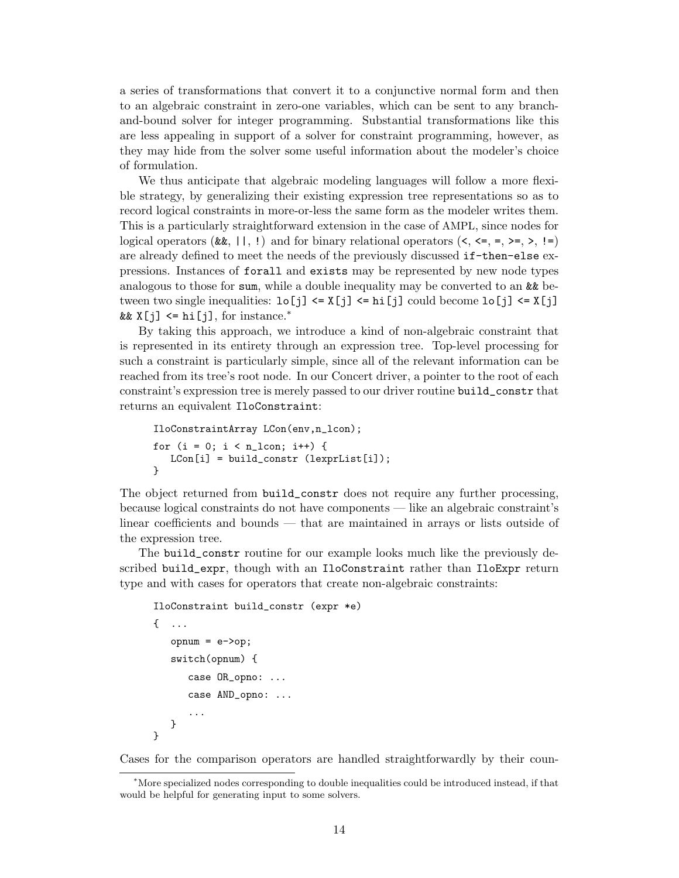a series of transformations that convert it to a conjunctive normal form and then to an algebraic constraint in zero-one variables, which can be sent to any branchand-bound solver for integer programming. Substantial transformations like this are less appealing in support of a solver for constraint programming, however, as they may hide from the solver some useful information about the modeler's choice of formulation.

We thus anticipate that algebraic modeling languages will follow a more flexible strategy, by generalizing their existing expression tree representations so as to record logical constraints in more-or-less the same form as the modeler writes them. This is a particularly straightforward extension in the case of AMPL, since nodes for logical operators  $(kk, 1, 1)$  and for binary relational operators  $(\le, \le, =, >, >, !=)$ are already defined to meet the needs of the previously discussed if-then-else expressions. Instances of forall and exists may be represented by new node types analogous to those for sum, while a double inequality may be converted to an  $\&\&$ tween two single inequalities:  $\log[\iota] \leq X[\iota] \leq \inf[\iota]$  could become  $\log[\iota] \leq X[\iota]$ &&  $X[j] \leq \text{hi}[j]$ , for instance.<sup>\*</sup>

By taking this approach, we introduce a kind of non-algebraic constraint that is represented in its entirety through an expression tree. Top-level processing for such a constraint is particularly simple, since all of the relevant information can be reached from its tree's root node. In our Concert driver, a pointer to the root of each constraint's expression tree is merely passed to our driver routine build\_constr that returns an equivalent IloConstraint:

```
IloConstraintArray LCon(env,n_lcon);
for (i = 0; i < n_{\text{1con}}; i++) {
   LCon[i] = build\_construct (lexprList[i]);
}
```
The object returned from build\_constr does not require any further processing, because logical constraints do not have components — like an algebraic constraint's linear coefficients and bounds — that are maintained in arrays or lists outside of the expression tree.

The build\_constr routine for our example looks much like the previously described build\_expr, though with an IloConstraint rather than IloExpr return type and with cases for operators that create non-algebraic constraints:

```
IloConstraint build_constr (expr *e)
{ ...
   opnum = e->op;
   switch(opnum) {
      case OR_opno: ...
      case AND_opno: ...
      ...
   }
}
```
Cases for the comparison operators are handled straightforwardly by their coun-

<sup>∗</sup>More specialized nodes corresponding to double inequalities could be introduced instead, if that would be helpful for generating input to some solvers.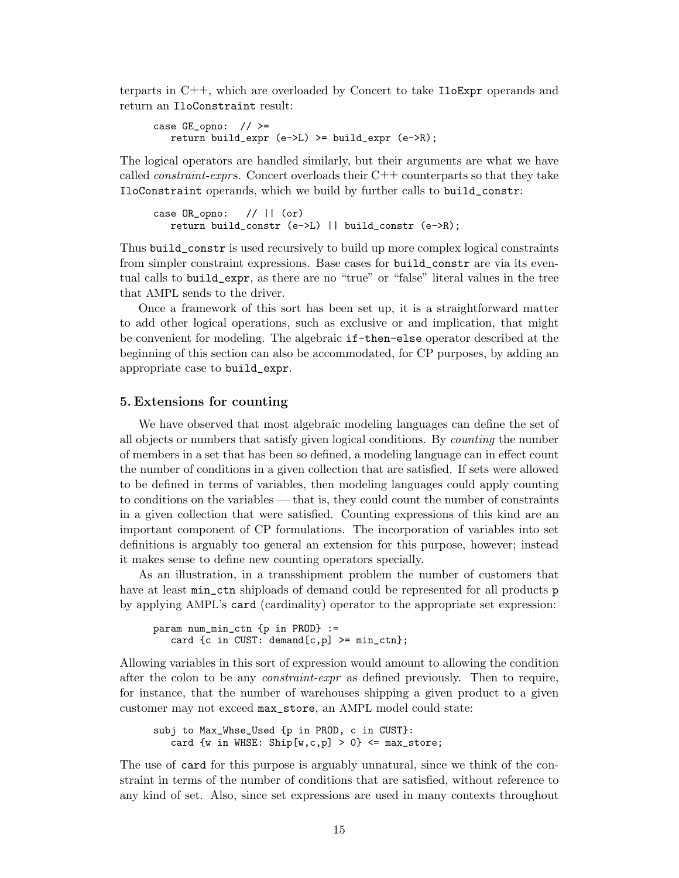terparts in C++, which are overloaded by Concert to take IloExpr operands and return an IloConstraint result:

```
case GE\_opno: // >=
  return build_expr (e->L) >= build_expr (e->R);
```
The logical operators are handled similarly, but their arguments are what we have called *constraint-exprs*. Concert overloads their  $C++$  counterparts so that they take IloConstraint operands, which we build by further calls to build\_constr:

case OR\_opno: // || (or) return build\_constr (e->L) || build\_constr (e->R);

Thus build\_constr is used recursively to build up more complex logical constraints from simpler constraint expressions. Base cases for build\_constr are via its eventual calls to build\_expr, as there are no "true" or "false" literal values in the tree that AMPL sends to the driver.

Once a framework of this sort has been set up, it is a straightforward matter to add other logical operations, such as exclusive or and implication, that might be convenient for modeling. The algebraic if-then-else operator described at the beginning of this section can also be accommodated, for CP purposes, by adding an appropriate case to build\_expr.

# **5. Extensions for counting**

We have observed that most algebraic modeling languages can define the set of all objects or numbers that satisfy given logical conditions. By counting the number of members in a set that has been so defined, a modeling language can in effect count the number of conditions in a given collection that are satisfied. If sets were allowed to be defined in terms of variables, then modeling languages could apply counting to conditions on the variables — that is, they could count the number of constraints in a given collection that were satisfied. Counting expressions of this kind are an important component of CP formulations. The incorporation of variables into set definitions is arguably too general an extension for this purpose, however; instead it makes sense to define new counting operators specially.

As an illustration, in a transshipment problem the number of customers that have at least  $min_{\text{at}}$  in shiploads of demand could be represented for all products p by applying AMPL's card (cardinality) operator to the appropriate set expression:

```
param num_min_ctn {p in PROD} :=
   card {c in CUST: demand[c,p] >= min_ctn};
```
Allowing variables in this sort of expression would amount to allowing the condition after the colon to be any constraint-expr as defined previously. Then to require, for instance, that the number of warehouses shipping a given product to a given customer may not exceed max\_store, an AMPL model could state:

```
subj to Max_Whse_Used {p in PROD, c in CUST}:
   card \{w \text{ in WHSE: Ship}[w, c, p] > 0\} \leq max\_store;
```
The use of card for this purpose is arguably unnatural, since we think of the constraint in terms of the number of conditions that are satisfied, without reference to any kind of set. Also, since set expressions are used in many contexts throughout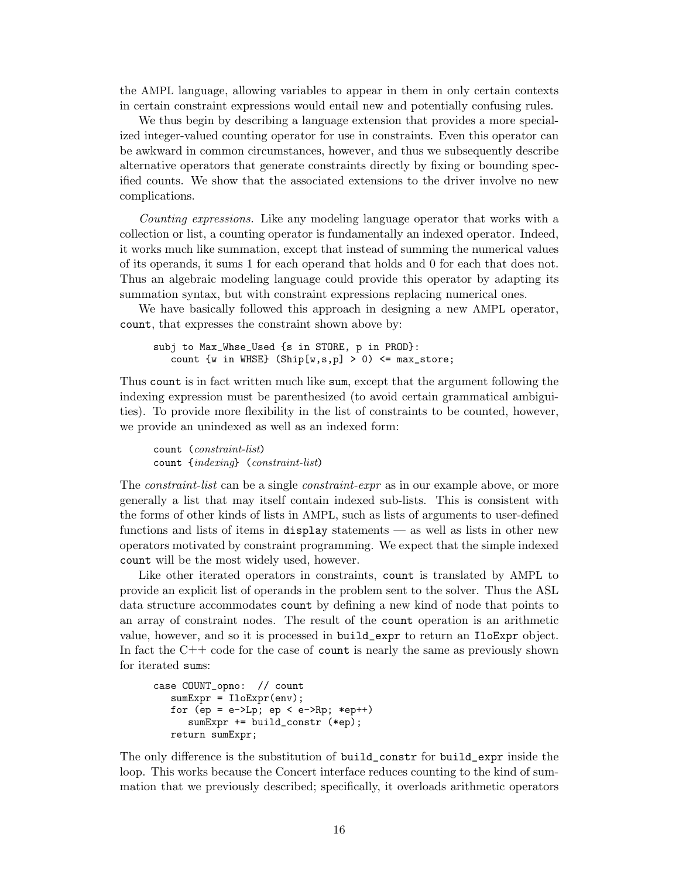the AMPL language, allowing variables to appear in them in only certain contexts in certain constraint expressions would entail new and potentially confusing rules.

We thus begin by describing a language extension that provides a more specialized integer-valued counting operator for use in constraints. Even this operator can be awkward in common circumstances, however, and thus we subsequently describe alternative operators that generate constraints directly by fixing or bounding specified counts. We show that the associated extensions to the driver involve no new complications.

Counting expressions. Like any modeling language operator that works with a collection or list, a counting operator is fundamentally an indexed operator. Indeed, it works much like summation, except that instead of summing the numerical values of its operands, it sums 1 for each operand that holds and 0 for each that does not. Thus an algebraic modeling language could provide this operator by adapting its summation syntax, but with constraint expressions replacing numerical ones.

We have basically followed this approach in designing a new AMPL operator, count, that expresses the constraint shown above by:

subj to Max\_Whse\_Used {s in STORE, p in PROD}: count  $\{w \text{ in WHSE}\}$  (Ship $[w,s,p] > 0$ ) <= max\_store;

Thus count is in fact written much like sum, except that the argument following the indexing expression must be parenthesized (to avoid certain grammatical ambiguities). To provide more flexibility in the list of constraints to be counted, however, we provide an unindexed as well as an indexed form:

count (constraint-list) count {indexing} (constraint-list)

The *constraint-list* can be a single *constraint-expr* as in our example above, or more generally a list that may itself contain indexed sub-lists. This is consistent with the forms of other kinds of lists in AMPL, such as lists of arguments to user-defined functions and lists of items in display statements — as well as lists in other new operators motivated by constraint programming. We expect that the simple indexed count will be the most widely used, however.

Like other iterated operators in constraints, count is translated by AMPL to provide an explicit list of operands in the problem sent to the solver. Thus the ASL data structure accommodates count by defining a new kind of node that points to an array of constraint nodes. The result of the count operation is an arithmetic value, however, and so it is processed in build\_expr to return an IloExpr object. In fact the C++ code for the case of count is nearly the same as previously shown for iterated sums:

```
case COUNT_opno: // count
  sumExpr = IloExpr(env);
   for (ep = e->Lp; ep < e->Rp; *ep++)sumExpr += build_constr (*ep);
  return sumExpr;
```
The only difference is the substitution of build\_constr for build\_expr inside the loop. This works because the Concert interface reduces counting to the kind of summation that we previously described; specifically, it overloads arithmetic operators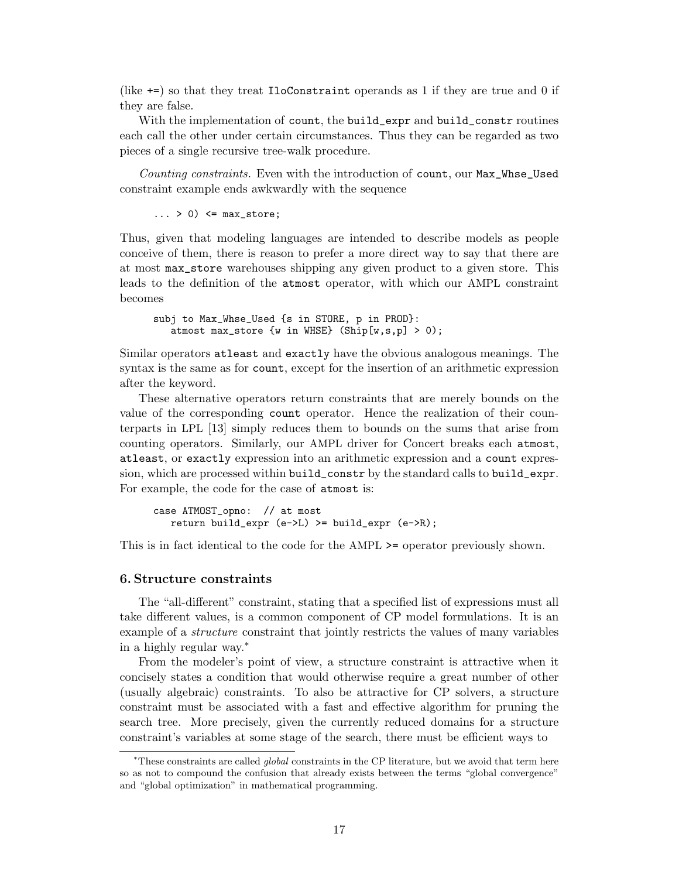(like +=) so that they treat IloConstraint operands as 1 if they are true and 0 if they are false.

With the implementation of count, the build\_expr and build\_constr routines each call the other under certain circumstances. Thus they can be regarded as two pieces of a single recursive tree-walk procedure.

Counting constraints. Even with the introduction of count, our Max\_Whse\_Used constraint example ends awkwardly with the sequence

 $\ldots$  > 0) <= max\_store;

Thus, given that modeling languages are intended to describe models as people conceive of them, there is reason to prefer a more direct way to say that there are at most max\_store warehouses shipping any given product to a given store. This leads to the definition of the atmost operator, with which our AMPL constraint becomes

```
subj to Max_Whse_Used {s in STORE, p in PROD}:
   atmost max_store \{w \text{ in WHSE}\} (Ship[w,s,p] > 0);
```
Similar operators atleast and exactly have the obvious analogous meanings. The syntax is the same as for count, except for the insertion of an arithmetic expression after the keyword.

These alternative operators return constraints that are merely bounds on the value of the corresponding count operator. Hence the realization of their counterparts in LPL [13] simply reduces them to bounds on the sums that arise from counting operators. Similarly, our AMPL driver for Concert breaks each atmost, atleast, or exactly expression into an arithmetic expression and a count expression, which are processed within build\_constr by the standard calls to build\_expr. For example, the code for the case of atmost is:

```
case ATMOST_opno: // at most
  return build_expr (e->L) >= build_expr (e->R);
```
This is in fact identical to the code for the AMPL >= operator previously shown.

#### **6. Structure constraints**

The "all-different" constraint, stating that a specified list of expressions must all take different values, is a common component of CP model formulations. It is an example of a *structure* constraint that jointly restricts the values of many variables in a highly regular way.∗

From the modeler's point of view, a structure constraint is attractive when it concisely states a condition that would otherwise require a great number of other (usually algebraic) constraints. To also be attractive for CP solvers, a structure constraint must be associated with a fast and effective algorithm for pruning the search tree. More precisely, given the currently reduced domains for a structure constraint's variables at some stage of the search, there must be efficient ways to

<sup>∗</sup>These constraints are called *global* constraints in the CP literature, but we avoid that term here so as not to compound the confusion that already exists between the terms "global convergence" and "global optimization" in mathematical programming.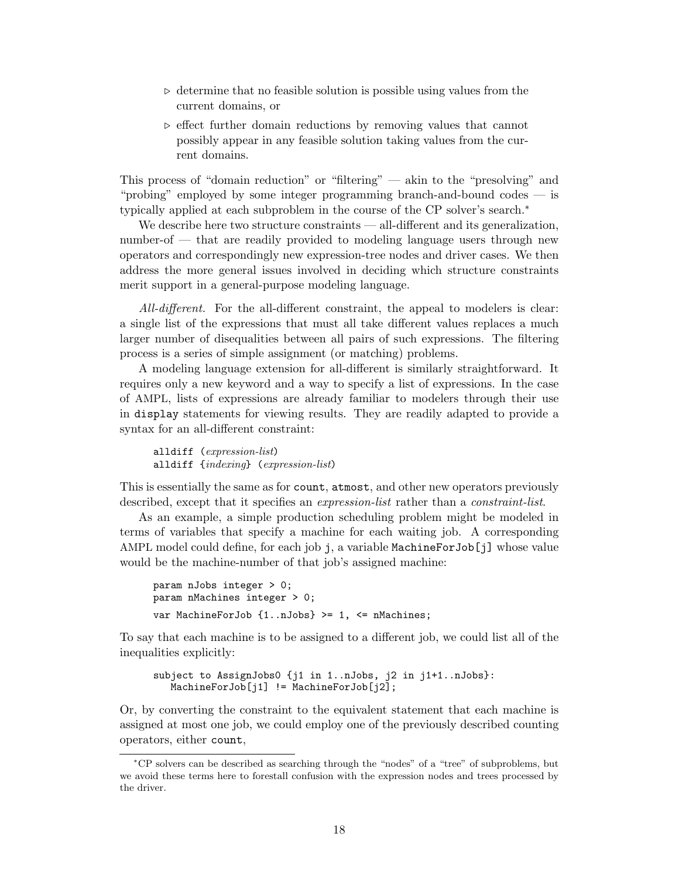- $\triangleright$  determine that no feasible solution is possible using values from the current domains, or
- $\triangleright$  effect further domain reductions by removing values that cannot possibly appear in any feasible solution taking values from the current domains.

This process of "domain reduction" or "filtering" — akin to the "presolving" and "probing" employed by some integer programming branch-and-bound codes — is typically applied at each subproblem in the course of the CP solver's search.∗

We describe here two structure constraints — all-different and its generalization, number-of — that are readily provided to modeling language users through new operators and correspondingly new expression-tree nodes and driver cases. We then address the more general issues involved in deciding which structure constraints merit support in a general-purpose modeling language.

All-different. For the all-different constraint, the appeal to modelers is clear: a single list of the expressions that must all take different values replaces a much larger number of disequalities between all pairs of such expressions. The filtering process is a series of simple assignment (or matching) problems.

A modeling language extension for all-different is similarly straightforward. It requires only a new keyword and a way to specify a list of expressions. In the case of AMPL, lists of expressions are already familiar to modelers through their use in display statements for viewing results. They are readily adapted to provide a syntax for an all-different constraint:

alldiff (expression-list) alldiff {indexing} (expression-list)

This is essentially the same as for count, atmost, and other new operators previously described, except that it specifies an *expression-list* rather than a *constraint-list*.

As an example, a simple production scheduling problem might be modeled in terms of variables that specify a machine for each waiting job. A corresponding AMPL model could define, for each job j, a variable MachineForJob[j] whose value would be the machine-number of that job's assigned machine:

```
param nJobs integer > 0;
param nMachines integer > 0;
var MachineForJob {1..nJobs} >= 1, <= nMachines;
```
To say that each machine is to be assigned to a different job, we could list all of the inequalities explicitly:

```
subject to AssignJobs0 {j1 in 1..nJobs, j2 in j1+1..nJobs}:
  MachineForJob[j1] != MachineForJob[j2];
```
Or, by converting the constraint to the equivalent statement that each machine is assigned at most one job, we could employ one of the previously described counting operators, either count,

<sup>∗</sup>CP solvers can be described as searching through the "nodes" of a "tree" of subproblems, but we avoid these terms here to forestall confusion with the expression nodes and trees processed by the driver.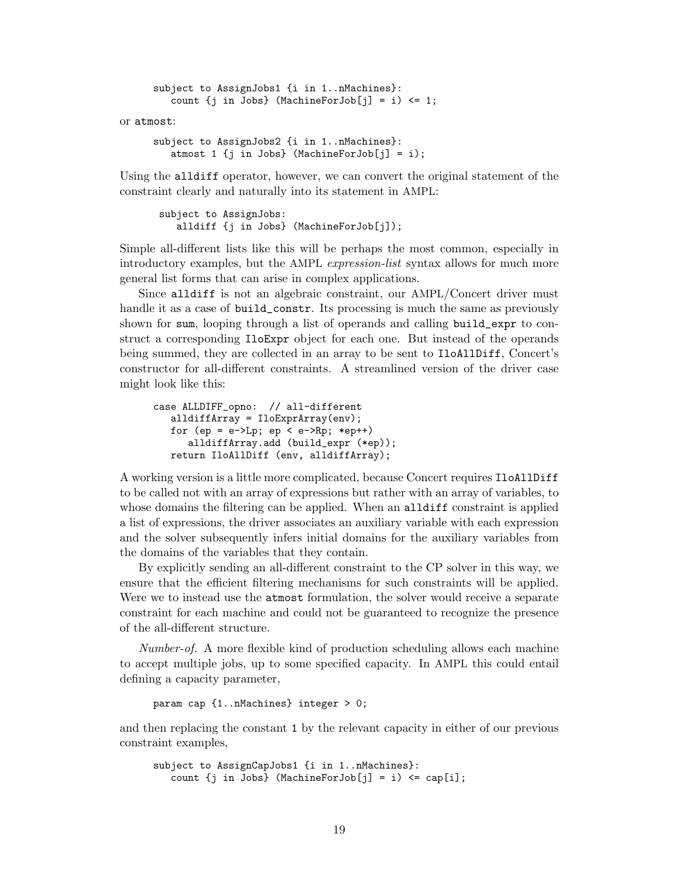```
subject to AssignJobs1 {i in 1..nMachines}:
   count \{j \text{ in Jobs}\} (MachineForJob[j] = i) <= 1;
```
or atmost:

```
subject to AssignJobs2 {i in 1..nMachines}:
   atmost 1 {j in Jobs} (MachineForJob[j] = i);
```
Using the alldiff operator, however, we can convert the original statement of the constraint clearly and naturally into its statement in AMPL:

```
subject to AssignJobs:
   alldiff {j in Jobs} (MachineForJob[j]);
```
Simple all-different lists like this will be perhaps the most common, especially in introductory examples, but the AMPL expression-list syntax allows for much more general list forms that can arise in complex applications.

Since alldiff is not an algebraic constraint, our AMPL/Concert driver must handle it as a case of **build\_constr**. Its processing is much the same as previously shown for sum, looping through a list of operands and calling build\_expr to construct a corresponding IloExpr object for each one. But instead of the operands being summed, they are collected in an array to be sent to IloAllDiff, Concert's constructor for all-different constraints. A streamlined version of the driver case might look like this:

```
case ALLDIFF_opno: // all-different
   alldiffArray = IloExprArray(env);
  for (ep = e->Lp; ep < e->Rp; *ep++)alldiffArray.add (build_expr (*ep));
  return IloAllDiff (env, alldiffArray);
```
A working version is a little more complicated, because Concert requires IloAllDiff to be called not with an array of expressions but rather with an array of variables, to whose domains the filtering can be applied. When an alldiff constraint is applied a list of expressions, the driver associates an auxiliary variable with each expression and the solver subsequently infers initial domains for the auxiliary variables from the domains of the variables that they contain.

By explicitly sending an all-different constraint to the CP solver in this way, we ensure that the efficient filtering mechanisms for such constraints will be applied. Were we to instead use the atmost formulation, the solver would receive a separate constraint for each machine and could not be guaranteed to recognize the presence of the all-different structure.

Number-of. A more flexible kind of production scheduling allows each machine to accept multiple jobs, up to some specified capacity. In AMPL this could entail defining a capacity parameter,

param cap {1..nMachines} integer > 0;

and then replacing the constant 1 by the relevant capacity in either of our previous constraint examples,

```
subject to AssignCapJobs1 {i in 1..nMachines}:
   count \{j \text{ in Jobs}\} (MachineForJob[j] = i) <= cap[i];
```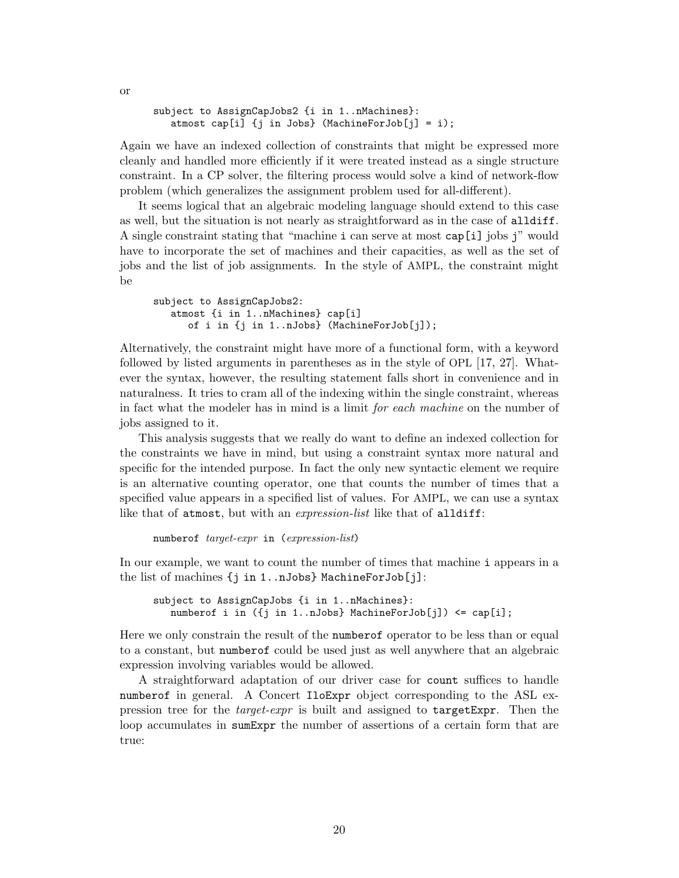```
subject to AssignCapJobs2 {i in 1..nMachines}:
  atmost cap[i] {j in Jobs} (MachineForJob[j] = i);
```
Again we have an indexed collection of constraints that might be expressed more cleanly and handled more efficiently if it were treated instead as a single structure constraint. In a CP solver, the filtering process would solve a kind of network-flow problem (which generalizes the assignment problem used for all-different).

It seems logical that an algebraic modeling language should extend to this case as well, but the situation is not nearly as straightforward as in the case of alldiff. A single constraint stating that "machine i can serve at most cap[i] jobs j" would have to incorporate the set of machines and their capacities, as well as the set of jobs and the list of job assignments. In the style of AMPL, the constraint might be

```
subject to AssignCapJobs2:
   atmost {i in 1..nMachines} cap[i]
      of i in {j in 1..nJobs} (MachineForJob[j]);
```
Alternatively, the constraint might have more of a functional form, with a keyword followed by listed arguments in parentheses as in the style of OPL [17, 27]. Whatever the syntax, however, the resulting statement falls short in convenience and in naturalness. It tries to cram all of the indexing within the single constraint, whereas in fact what the modeler has in mind is a limit for each machine on the number of jobs assigned to it.

This analysis suggests that we really do want to define an indexed collection for the constraints we have in mind, but using a constraint syntax more natural and specific for the intended purpose. In fact the only new syntactic element we require is an alternative counting operator, one that counts the number of times that a specified value appears in a specified list of values. For AMPL, we can use a syntax like that of atmost, but with an *expression-list* like that of alldiff:

numberof target-expr in (expression-list)

In our example, we want to count the number of times that machine i appears in a the list of machines {j in 1..nJobs} MachineForJob[j]:

```
subject to AssignCapJobs {i in 1..nMachines}:
  numberof i in ({j in 1..nJobs} MachineForJob[j]) <= cap[i];
```
Here we only constrain the result of the numberof operator to be less than or equal to a constant, but numberof could be used just as well anywhere that an algebraic expression involving variables would be allowed.

A straightforward adaptation of our driver case for count suffices to handle numberof in general. A Concert IloExpr object corresponding to the ASL expression tree for the target-expr is built and assigned to targetExpr. Then the loop accumulates in sumExpr the number of assertions of a certain form that are true:

or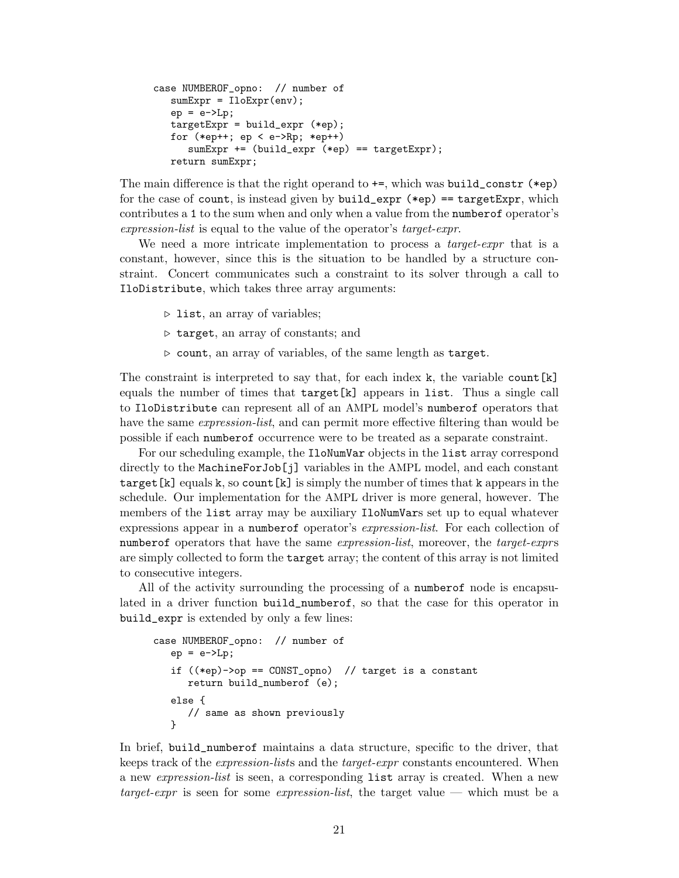```
case NUMBEROF_opno: // number of
   sumExpr = IloExpr(env);ep = e->Lp;targetExpr = build\_expr (*ep);
   for (*ep++; ep < e->Rp; *ep++)
      sumExpr += (build_expr (*ep) == targetExpr);
   return sumExpr;
```
The main difference is that the right operand to  $+=$ , which was build\_constr  $(*ep)$ for the case of count, is instead given by build\_expr (\*ep) == targetExpr, which contributes a 1 to the sum when and only when a value from the numberof operator's expression-list is equal to the value of the operator's target-expr.

We need a more intricate implementation to process a  $target\text{-}expr$  that is a constant, however, since this is the situation to be handled by a structure constraint. Concert communicates such a constraint to its solver through a call to IloDistribute, which takes three array arguments:

- $\triangleright$  list, an array of variables;
- $\triangleright$  target, an array of constants; and
- $\triangleright$  count, an array of variables, of the same length as target.

The constraint is interpreted to say that, for each index  $k$ , the variable count  $[k]$ equals the number of times that target[k] appears in list. Thus a single call to IloDistribute can represent all of an AMPL model's numberof operators that have the same *expression-list*, and can permit more effective filtering than would be possible if each numberof occurrence were to be treated as a separate constraint.

For our scheduling example, the IloNumVar objects in the list array correspond directly to the MachineForJob[j] variables in the AMPL model, and each constant target [k] equals k, so count [k] is simply the number of times that k appears in the schedule. Our implementation for the AMPL driver is more general, however. The members of the list array may be auxiliary IloNumVars set up to equal whatever expressions appear in a numberof operator's expression-list. For each collection of numberof operators that have the same expression-list, moreover, the target-exprs are simply collected to form the target array; the content of this array is not limited to consecutive integers.

All of the activity surrounding the processing of a numberof node is encapsulated in a driver function build\_numberof, so that the case for this operator in build\_expr is extended by only a few lines:

```
case NUMBEROF_opno: // number of
   ep = e - \sum p;if ((*ep) \rightarrow op == CONST_opno) // target is a constant
      return build_numberof (e);
   else {
      // same as shown previously
   }
```
In brief, build\_numberof maintains a data structure, specific to the driver, that keeps track of the *expression-lists* and the *target-expr* constants encountered. When a new *expression-list* is seen, a corresponding list array is created. When a new  $target\text{-}expr$  is seen for some *expression-list*, the target value — which must be a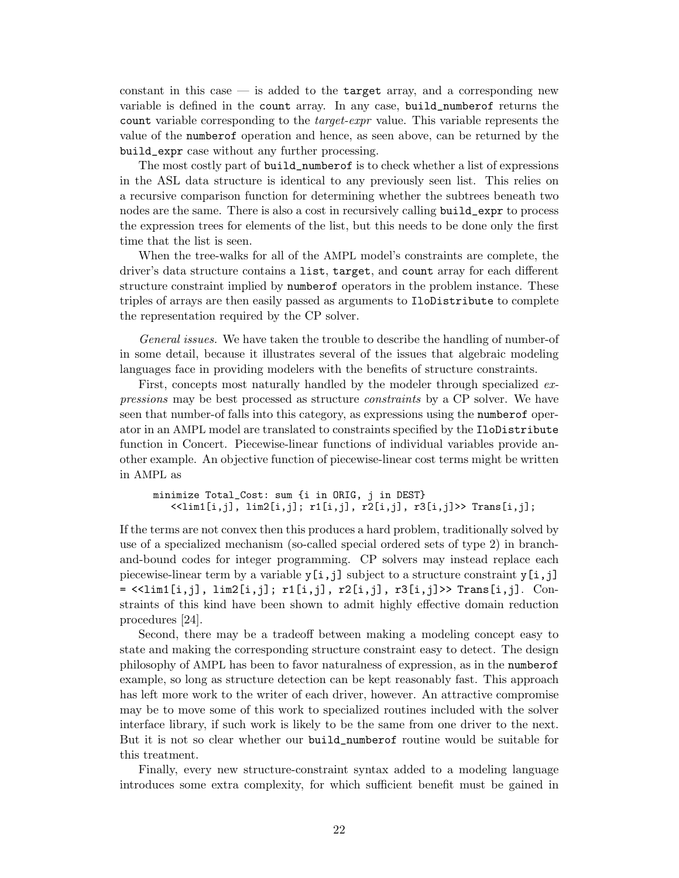constant in this case  $\overline{\phantom{a}}$  is added to the **target** array, and a corresponding new variable is defined in the count array. In any case, build\_numberof returns the count variable corresponding to the target-expr value. This variable represents the value of the numberof operation and hence, as seen above, can be returned by the build\_expr case without any further processing.

The most costly part of build\_numberof is to check whether a list of expressions in the ASL data structure is identical to any previously seen list. This relies on a recursive comparison function for determining whether the subtrees beneath two nodes are the same. There is also a cost in recursively calling build\_expr to process the expression trees for elements of the list, but this needs to be done only the first time that the list is seen.

When the tree-walks for all of the AMPL model's constraints are complete, the driver's data structure contains a list, target, and count array for each different structure constraint implied by numberof operators in the problem instance. These triples of arrays are then easily passed as arguments to IloDistribute to complete the representation required by the CP solver.

General issues. We have taken the trouble to describe the handling of number-of in some detail, because it illustrates several of the issues that algebraic modeling languages face in providing modelers with the benefits of structure constraints.

First, concepts most naturally handled by the modeler through specialized expressions may be best processed as structure constraints byaCP solver. We have seen that number-of falls into this category, as expressions using the numberof operator in an AMPL model are translated to constraints specified by the IloDistribute function in Concert. Piecewise-linear functions of individual variables provide another example. An objective function of piecewise-linear cost terms might be written in AMPL as

minimize Total\_Cost: sum {i in ORIG, j in DEST}  $\le$ lim1[i,j], lim2[i,j]; r1[i,j], r2[i,j], r3[i,j]>> Trans[i,j];

If the terms are not convex then this produces a hard problem, traditionally solved by use of a specialized mechanism (so-called special ordered sets of type 2) in branchand-bound codes for integer programming. CP solvers may instead replace each piecewise-linear term by a variable  $y[i, j]$  subject to a structure constraint  $y[i, j]$ = <<lim1[i,j], lim2[i,j]; r1[i,j], r2[i,j], r3[i,j]>> Trans[i,j]. Constraints of this kind have been shown to admit highly effective domain reduction procedures [24].

Second, there may be a tradeoff between making a modeling concept easy to state and making the corresponding structure constraint easy to detect. The design philosophy of AMPL has been to favor naturalness of expression, as in the numberof example, so long as structure detection can be kept reasonably fast. This approach has left more work to the writer of each driver, however. An attractive compromise may be to move some of this work to specialized routines included with the solver interface library, if such work is likely to be the same from one driver to the next. But it is not so clear whether our build\_numberof routine would be suitable for this treatment.

Finally, every new structure-constraint syntax added to a modeling language introduces some extra complexity, for which sufficient benefit must be gained in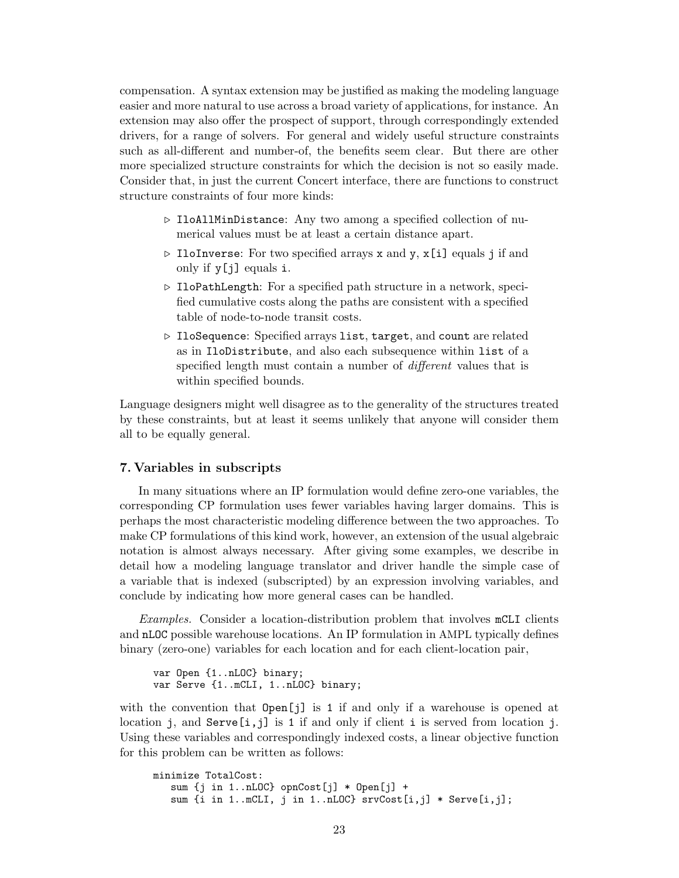compensation. A syntax extension may be justified as making the modeling language easier and more natural to use across a broad variety of applications, for instance. An extension may also offer the prospect of support, through correspondingly extended drivers, for a range of solvers. For general and widely useful structure constraints such as all-different and number-of, the benefits seem clear. But there are other more specialized structure constraints for which the decision is not so easily made. Consider that, in just the current Concert interface, there are functions to construct structure constraints of four more kinds:

- $\triangleright$  IloAllMinDistance: Any two among a specified collection of numerical values must be at least a certain distance apart.
- $\triangleright$  IloInverse: For two specified arrays x and y, x[i] equals j if and only if y[j] equals i.
- $\triangleright$  IloPathLength: For a specified path structure in a network, specified cumulative costs along the paths are consistent with a specified table of node-to-node transit costs.
- $\triangleright$  IloSequence: Specified arrays list, target, and count are related as in IloDistribute, and also each subsequence within list of a specified length must contain a number of *different* values that is within specified bounds.

Language designers might well disagree as to the generality of the structures treated by these constraints, but at least it seems unlikely that anyone will consider them all to be equally general.

### **7. Variables in subscripts**

In many situations where an IP formulation would define zero-one variables, the corresponding CP formulation uses fewer variables having larger domains. This is perhaps the most characteristic modeling difference between the two approaches. To make CP formulations of this kind work, however, an extension of the usual algebraic notation is almost always necessary. After giving some examples, we describe in detail how a modeling language translator and driver handle the simple case of a variable that is indexed (subscripted) by an expression involving variables, and conclude by indicating how more general cases can be handled.

Examples. Consider a location-distribution problem that involves mCLI clients and nLOC possible warehouse locations. An IP formulation in AMPL typically defines binary (zero-one) variables for each location and for each client-location pair,

var Open {1..nLOC} binary; var Serve {1..mCLI, 1..nLOC} binary;

with the convention that  $Open[j]$  is 1 if and only if a warehouse is opened at location j, and Serve[i,j] is 1 if and only if client i is served from location j. Using these variables and correspondingly indexed costs, a linear objective function for this problem can be written as follows:

```
minimize TotalCost:
   sum {j in 1..nLOC} opnCost[j] * Open[j] +
   sum {i in 1..mCLI, j in 1..nLOC} srvCost[i,j] * Serve[i,j];
```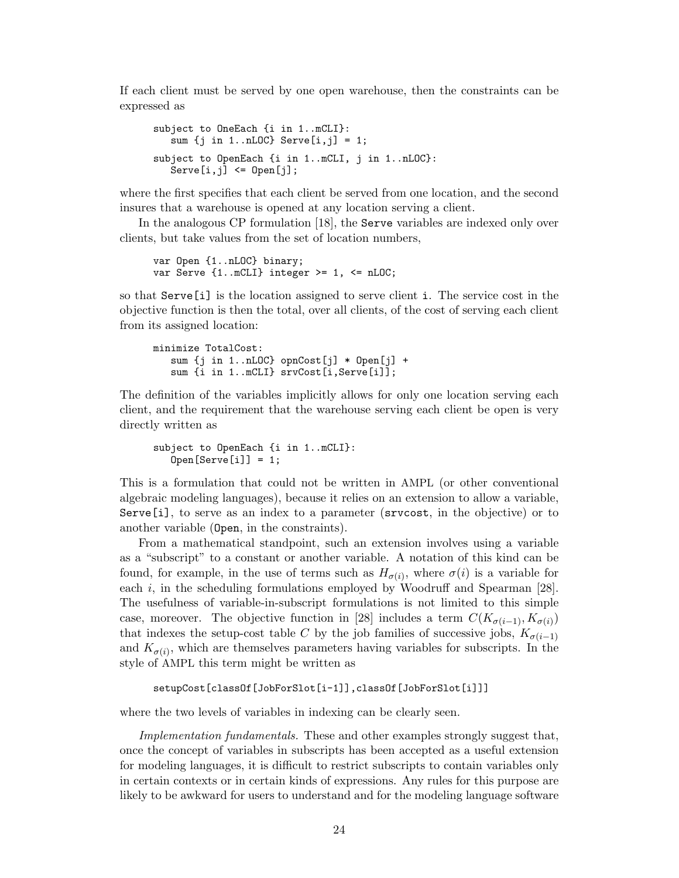If each client must be served by one open warehouse, then the constraints can be expressed as

```
subject to OneEach {i in 1..mCLI}:
   sum {j in 1..nLOC} Serve[i,j] = 1;
subject to OpenEach {i in 1..mCLI, j in 1..nLOC}:
  Serve[i,j] <= Open[j];
```
where the first specifies that each client be served from one location, and the second insures that a warehouse is opened at any location serving a client.

In the analogous CP formulation [18], the Serve variables are indexed only over clients, but take values from the set of location numbers,

```
var Open {1..nLOC} binary;
var Serve {1..mCLI} integer >= 1, <= nLOC;
```
so that Serve[i] is the location assigned to serve client i. The service cost in the objective function is then the total, over all clients, of the cost of serving each client from its assigned location:

```
minimize TotalCost:
   sum {j in 1..nLOC} opnCost[j] * Open[j] +
   sum {i in 1..mCLI} srvCost[i,Serve[i]];
```
The definition of the variables implicitly allows for only one location serving each client, and the requirement that the warehouse serving each client be open is very directly written as

```
subject to OpenEach {i in 1..mCLI}:
  Open[Serve[i]] = 1;
```
This is a formulation that could not be written in AMPL (or other conventional algebraic modeling languages), because it relies on an extension to allow a variable, Serve[i], to serve as an index to a parameter (srvcost, in the objective) or to another variable (Open, in the constraints).

From a mathematical standpoint, such an extension involves using a variable as a "subscript" to a constant or another variable. A notation of this kind can be found, for example, in the use of terms such as  $H_{\sigma(i)}$ , where  $\sigma(i)$  is a variable for each *i*, in the scheduling formulations employed by Woodruff and Spearman [28]. The usefulness of variable-in-subscript formulations is not limited to this simple case, moreover. The objective function in [28] includes a term  $C(K_{\sigma(i-1)}, K_{\sigma(i)})$ that indexes the setup-cost table *C* by the job families of successive jobs,  $K_{\sigma(i-1)}$ and  $K_{\sigma(i)}$ , which are themselves parameters having variables for subscripts. In the style of AMPL this term might be written as

```
setupCost[classOf[JobForSlot[i-1]],classOf[JobForSlot[i]]]
```
where the two levels of variables in indexing can be clearly seen.

Implementation fundamentals. These and other examples strongly suggest that, once the concept of variables in subscripts has been accepted as a useful extension for modeling languages, it is difficult to restrict subscripts to contain variables only in certain contexts or in certain kinds of expressions. Any rules for this purpose are likely to be awkward for users to understand and for the modeling language software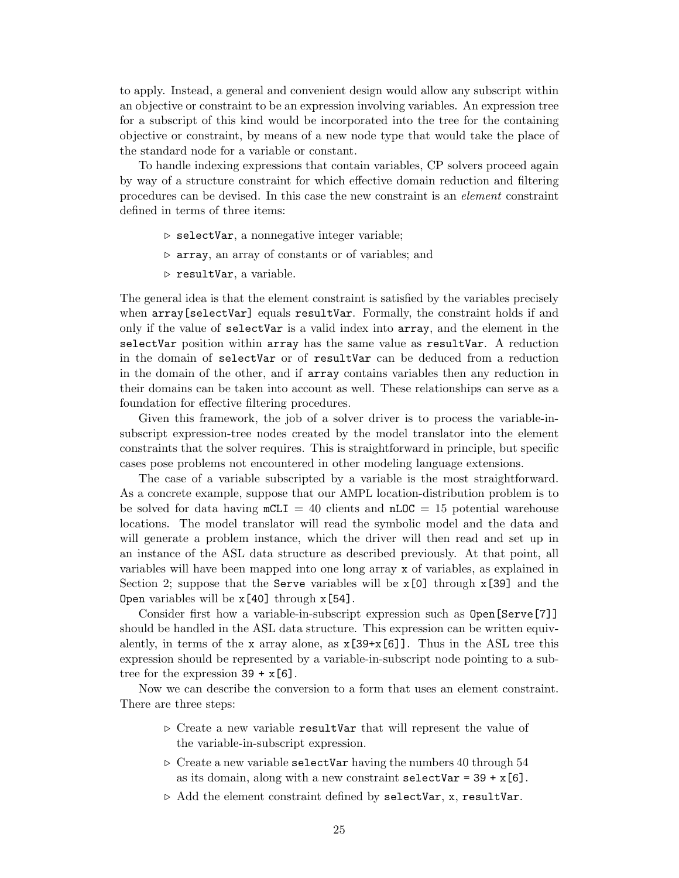to apply. Instead, a general and convenient design would allow any subscript within an objective or constraint to be an expression involving variables. An expression tree for a subscript of this kind would be incorporated into the tree for the containing objective or constraint, by means of a new node type that would take the place of the standard node for a variable or constant.

To handle indexing expressions that contain variables, CP solvers proceed again by way of a structure constraint for which effective domain reduction and filtering procedures can be devised. In this case the new constraint is an element constraint defined in terms of three items:

- $\triangleright$  selectVar, a nonnegative integer variable;
- array, an array of constants or of variables; and
- $\triangleright$  resultVar, a variable.

The general idea is that the element constraint is satisfied by the variables precisely when  $array[$ selectVar] equals resultVar. Formally, the constraint holds if and only if the value of selectVar is a valid index into array, and the element in the selectVar position within array has the same value as resultVar. A reduction in the domain of selectVar or of resultVar can be deduced from a reduction in the domain of the other, and if array contains variables then any reduction in their domains can be taken into account as well. These relationships can serve as a foundation for effective filtering procedures.

Given this framework, the job of a solver driver is to process the variable-insubscript expression-tree nodes created by the model translator into the element constraints that the solver requires. This is straightforward in principle, but specific cases pose problems not encountered in other modeling language extensions.

The case of a variable subscripted by a variable is the most straightforward. As a concrete example, suppose that our AMPL location-distribution problem is to be solved for data having  $mCLI = 40$  clients and  $nLOC = 15$  potential warehouse locations. The model translator will read the symbolic model and the data and will generate a problem instance, which the driver will then read and set up in an instance of the ASL data structure as described previously. At that point, all variables will have been mapped into one long array x of variables, as explained in Section 2; suppose that the Serve variables will be  $x[0]$  through  $x[39]$  and the Open variables will be  $x[40]$  through  $x[54]$ .

Consider first how a variable-in-subscript expression such as Open[Serve[7]] should be handled in the ASL data structure. This expression can be written equivalently, in terms of the x array alone, as  $x[39+x[6]]$ . Thus in the ASL tree this expression should be represented by a variable-in-subscript node pointing to a subtree for the expression  $39 + x[6]$ .

Now we can describe the conversion to a form that uses an element constraint. There are three steps:

- $\triangleright$  Create a new variable result Var that will represent the value of the variable-in-subscript expression.
- $\triangleright$  Create a new variable selectVar having the numbers 40 through 54 as its domain, along with a new constraint  $\texttt{selectVar} = 39 + x[6]$ .
- $\triangleright$  Add the element constraint defined by selectVar, x, resultVar.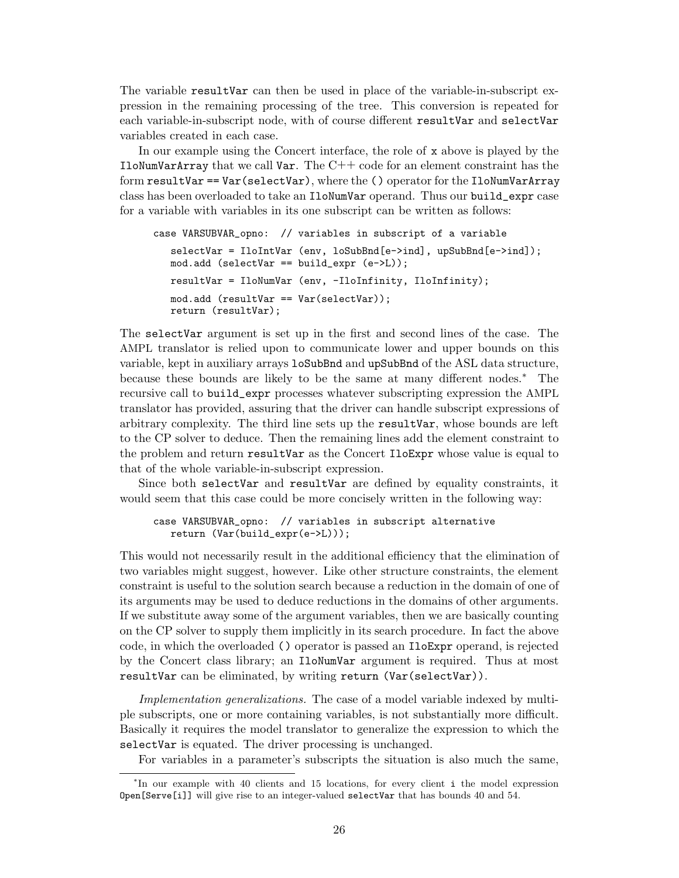The variable resultVar can then be used in place of the variable-in-subscript expression in the remaining processing of the tree. This conversion is repeated for each variable-in-subscript node, with of course different resultVar and selectVar variables created in each case.

In our example using the Concert interface, the role of x above is played by the IloNumVarArray that we call Var. The  $C++$  code for an element constraint has the form resultVar == Var(selectVar), where the () operator for the IloNumVarArray class has been overloaded to take an IloNumVar operand. Thus our build\_expr case for a variable with variables in its one subscript can be written as follows:

```
case VARSUBVAR_opno: // variables in subscript of a variable
   selectVar = IloIntVar (env, loSubBnd[e->ind], upSubBnd[e->ind]);
  mod.add (selectVar == build_expr (e->L));
  resultVar = IloNumVar (env, -IloInfinity, IloInfinity);
  mod.add (resultVar == Var(selfVar));return (resultVar);
```
The selectVar argument is set up in the first and second lines of the case. The AMPL translator is relied upon to communicate lower and upper bounds on this variable, kept in auxiliary arrays loSubBnd and upSubBnd of the ASL data structure, because these bounds are likely to be the same at many different nodes.∗ The recursive call to build\_expr processes whatever subscripting expression the AMPL translator has provided, assuring that the driver can handle subscript expressions of arbitrary complexity. The third line sets up the resultVar, whose bounds are left to the CP solver to deduce. Then the remaining lines add the element constraint to the problem and return resultVar as the Concert IloExpr whose value is equal to that of the whole variable-in-subscript expression.

Since both selectVar and resultVar are defined by equality constraints, it would seem that this case could be more concisely written in the following way:

#### case VARSUBVAR\_opno: // variables in subscript alternative return (Var(build\_expr(e->L)));

This would not necessarily result in the additional efficiency that the elimination of two variables might suggest, however. Like other structure constraints, the element constraint is useful to the solution search because a reduction in the domain of one of its arguments may be used to deduce reductions in the domains of other arguments. If we substitute away some of the argument variables, then we are basically counting on the CP solver to supply them implicitly in its search procedure. In fact the above code, in which the overloaded () operator is passed an IloExpr operand, is rejected by the Concert class library; an IloNumVar argument is required. Thus at most resultVar can be eliminated, by writing return (Var(selectVar)).

Implementation generalizations. The case of a model variable indexed by multiple subscripts, one or more containing variables, is not substantially more difficult. Basically it requires the model translator to generalize the expression to which the selectVar is equated. The driver processing is unchanged.

For variables in a parameter's subscripts the situation is also much the same,

<sup>∗</sup>In our example with 40 clients and 15 locations, for every client i the model expression Open[Serve[i]] will give rise to an integer-valued selectVar that has bounds 40 and 54.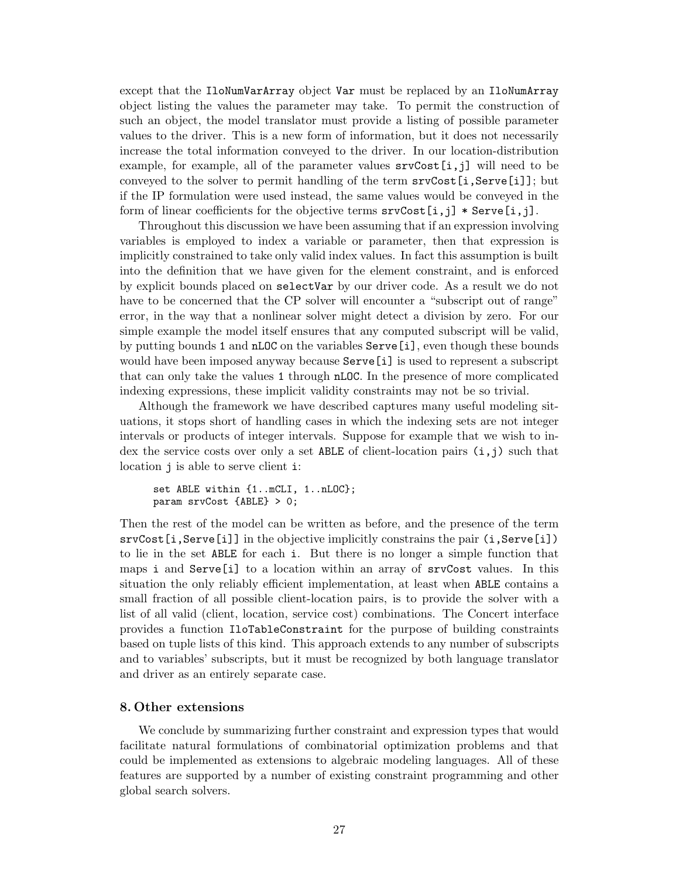except that the IloNumVarArray object Var must be replaced by an IloNumArray object listing the values the parameter may take. To permit the construction of such an object, the model translator must provide a listing of possible parameter values to the driver. This is a new form of information, but it does not necessarily increase the total information conveyed to the driver. In our location-distribution example, for example, all of the parameter values  $srvCost[i,j]$  will need to be conveyed to the solver to permit handling of the term  $\text{srvCost}[i, \text{Serve}[i]]$ ; but if the IP formulation were used instead, the same values would be conveyed in the form of linear coefficients for the objective terms  $\texttt{srvCost}[i,j] * \texttt{Serve}[i,j]$ .

Throughout this discussion we have been assuming that if an expression involving variables is employed to index a variable or parameter, then that expression is implicitly constrained to take only valid index values. In fact this assumption is built into the definition that we have given for the element constraint, and is enforced by explicit bounds placed on selectVar by our driver code. As a result we do not have to be concerned that the CP solver will encounter a "subscript out of range" error, in the way that a nonlinear solver might detect a division by zero. For our simple example the model itself ensures that any computed subscript will be valid, by putting bounds 1 and nLOC on the variables Serve[i], even though these bounds would have been imposed anyway because Serve[i] is used to represent a subscript that can only take the values 1 through nLOC. In the presence of more complicated indexing expressions, these implicit validity constraints may not be so trivial.

Although the framework we have described captures many useful modeling situations, it stops short of handling cases in which the indexing sets are not integer intervals or products of integer intervals. Suppose for example that we wish to index the service costs over only a set ABLE of client-location pairs  $(i, j)$  such that location *j* is able to serve client **i**:

```
set ABLE within {1..mCLI, 1..nLOC};
param srvCost {ABLE} > 0;
```
Then the rest of the model can be written as before, and the presence of the term srvCost[i,Serve[i]] in the objective implicitly constrains the pair (i,Serve[i]) to lie in the set ABLE for each i. But there is no longer a simple function that maps i and Serve[i] to a location within an array of srvCost values. In this situation the only reliably efficient implementation, at least when ABLE contains a small fraction of all possible client-location pairs, is to provide the solver with a list of all valid (client, location, service cost) combinations. The Concert interface provides a function IloTableConstraint for the purpose of building constraints based on tuple lists of this kind. This approach extends to any number of subscripts and to variables' subscripts, but it must be recognized by both language translator and driver as an entirely separate case.

#### **8. Other extensions**

We conclude by summarizing further constraint and expression types that would facilitate natural formulations of combinatorial optimization problems and that could be implemented as extensions to algebraic modeling languages. All of these features are supported by a number of existing constraint programming and other global search solvers.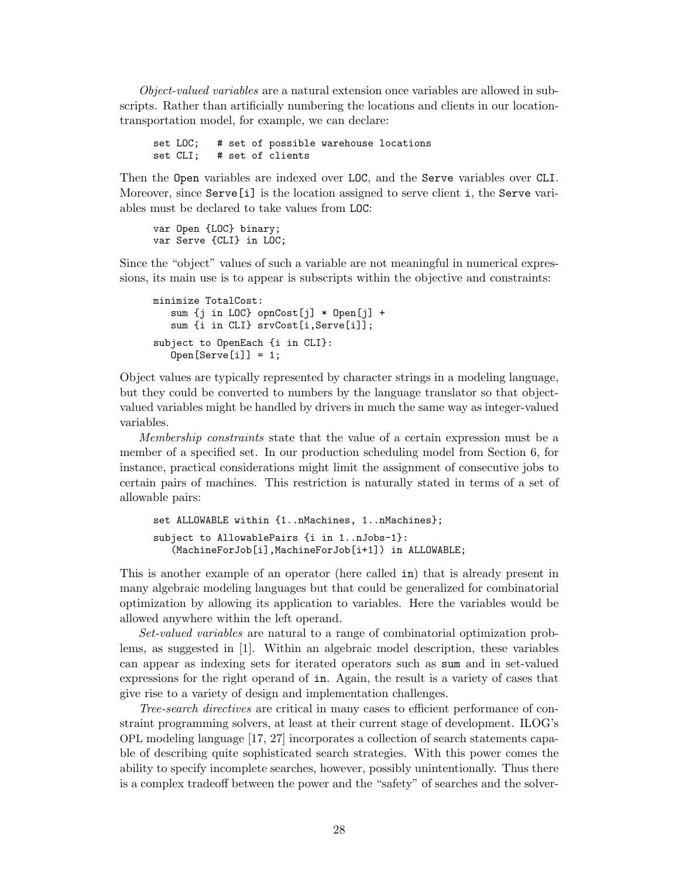Object-valued variables are a natural extension once variables are allowed in subscripts. Rather than artificially numbering the locations and clients in our locationtransportation model, for example, we can declare:

set LOC; # set of possible warehouse locations set CLI; # set of clients

Then the Open variables are indexed over LOC, and the Serve variables over CLI. Moreover, since Serve[i] is the location assigned to serve client i, the Serve variables must be declared to take values from LOC:

```
var Open {LOC} binary;
var Serve {CLI} in LOC;
```
Since the "object" values of such a variable are not meaningful in numerical expressions, its main use is to appear is subscripts within the objective and constraints:

```
minimize TotalCost:
   sum {j in LOC} opnCost[j] * Open[j] +
   sum {i in CLI} srvCost[i,Serve[i]];
subject to OpenEach {i in CLI}:
   Open[Serve[i]] = 1;
```
Object values are typically represented by character strings in a modeling language, but they could be converted to numbers by the language translator so that objectvalued variables might be handled by drivers in much the same way as integer-valued variables.

Membership constraints state that the value of a certain expression must be a member of a specified set. In our production scheduling model from Section 6, for instance, practical considerations might limit the assignment of consecutive jobs to certain pairs of machines. This restriction is naturally stated in terms of a set of allowable pairs:

```
set ALLOWABLE within {1..nMachines, 1..nMachines};
subject to AllowablePairs {i in 1..nJobs-1}:
   (MachineForJob[i],MachineForJob[i+1]) in ALLOWABLE;
```
This is another example of an operator (here called in) that is already present in many algebraic modeling languages but that could be generalized for combinatorial optimization by allowing its application to variables. Here the variables would be allowed anywhere within the left operand.

Set-valued variables are natural to a range of combinatorial optimization problems, as suggested in [1]. Within an algebraic model description, these variables can appear as indexing sets for iterated operators such as sum and in set-valued expressions for the right operand of in. Again, the result is a variety of cases that give rise to a variety of design and implementation challenges.

Tree-search directives are critical in many cases to efficient performance of constraint programming solvers, at least at their current stage of development. ILOG's OPL modeling language [17, 27] incorporates a collection of search statements capable of describing quite sophisticated search strategies. With this power comes the ability to specify incomplete searches, however, possibly unintentionally. Thus there is a complex tradeoff between the power and the "safety" of searches and the solver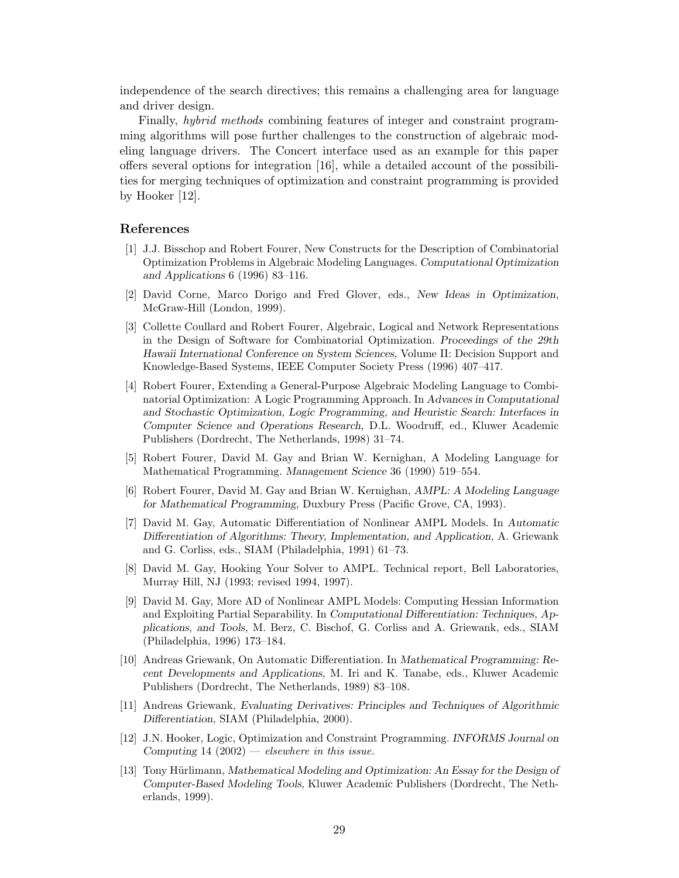independence of the search directives; this remains a challenging area for language and driver design.

Finally, hybrid methods combining features of integer and constraint programming algorithms will pose further challenges to the construction of algebraic modeling language drivers. The Concert interface used as an example for this paper offers several options for integration [16], while a detailed account of the possibilities for merging techniques of optimization and constraint programming is provided by Hooker [12].

#### **References**

- [1] J.J. Bisschop and Robert Fourer, New Constructs for the Description of Combinatorial Optimization Problems in Algebraic Modeling Languages. *Computational Optimization and Applications* 6 (1996) 83–116.
- [2] David Corne, Marco Dorigo and Fred Glover, eds., *New Ideas in Optimization,* McGraw-Hill (London, 1999).
- [3] Collette Coullard and Robert Fourer, Algebraic, Logical and Network Representations in the Design of Software for Combinatorial Optimization. *Proceedings of the 29th Hawaii International Conference on System Sciences,* Volume II: Decision Support and Knowledge-Based Systems, IEEE Computer Society Press (1996) 407–417.
- [4] Robert Fourer, Extending a General-Purpose Algebraic Modeling Language to Combinatorial Optimization: A Logic Programming Approach. In *Advances in Computational and Stochastic Optimization, Logic Programming, and Heuristic Search: Interfaces in Computer Science and Operations Research,* D.L. Woodruff, ed., Kluwer Academic Publishers (Dordrecht, The Netherlands, 1998) 31–74.
- [5] Robert Fourer, David M. Gay and Brian W. Kernighan, A Modeling Language for Mathematical Programming. *Management Science* 36 (1990) 519–554.
- [6] Robert Fourer, David M. Gay and Brian W. Kernighan, *AMPL: A Modeling Language for Mathematical Programming,* Duxbury Press (Pacific Grove, CA, 1993).
- [7] David M. Gay, Automatic Differentiation of Nonlinear AMPL Models. In *Automatic Differentiation of Algorithms: Theory, Implementation, and Application,* A. Griewank and G. Corliss, eds., SIAM (Philadelphia, 1991) 61–73.
- [8] David M. Gay, Hooking Your Solver to AMPL. Technical report, Bell Laboratories, Murray Hill, NJ (1993; revised 1994, 1997).
- [9] David M. Gay, More AD of Nonlinear AMPL Models: Computing Hessian Information and Exploiting Partial Separability. In *Computational Differentiation: Techniques, Applications, and Tools,* M. Berz, C. Bischof, G. Corliss and A. Griewank, eds., SIAM (Philadelphia, 1996) 173–184.
- [10] Andreas Griewank, On Automatic Differentiation. In *Mathematical Programming: Recent Developments and Applications,* M. Iri and K. Tanabe, eds., Kluwer Academic Publishers (Dordrecht, The Netherlands, 1989) 83–108.
- [11] Andreas Griewank, *Evaluating Derivatives: Principles and Techniques of Algorithmic Differentiation,* SIAM (Philadelphia, 2000).
- [12] J.N. Hooker, Logic, Optimization and Constraint Programming. *INFORMS Journal on Computing* 14 (2002) — elsewhere in this issue.
- [13] Tony Hürlimann, *Mathematical Modeling and Optimization: An Essay for the Design of Computer-Based Modeling Tools,* Kluwer Academic Publishers (Dordrecht, The Netherlands, 1999).